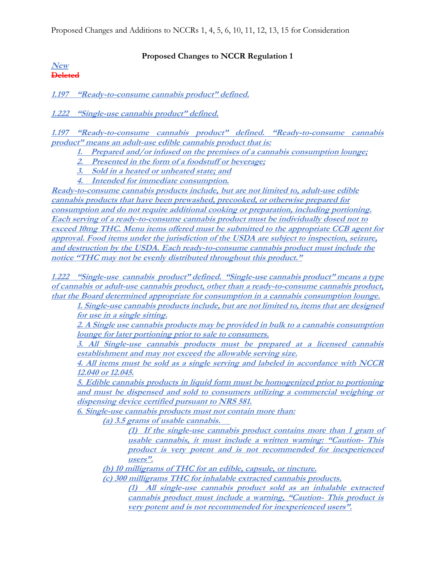Proposed Changes and Additions to NCCRs 1, 4, 5, 6, 10, 11, 12, 13, 15 for Consideration

## **Proposed Changes to NCCR Regulation 1**

#### **New Deleted**

**1.197 "Ready-to-consume cannabis product" defined.**

**1.222 "Single-use cannabis product" defined.**

**1.197 "Ready-to-consume cannabis product" defined. "Ready-to-consume cannabis product" means an adult-use edible cannabis product that is:** 

**1. Prepared and/or infused on the premises of a cannabis consumption lounge;** 

**2. Presented in the form of a foodstuff or beverage;** 

**3. Sold in a heated or unheated state; and** 

**4. Intended for immediate consumption.**

**Ready-to-consume cannabis products include, but are not limited to, adult-use edible cannabis products that have been prewashed, precooked, or otherwise prepared for consumption and do not require additional cooking or preparation, including portioning. Each serving of a ready-to-consume cannabis product must be individually dosed not to exceed 10mg THC. Menu items offered must be submitted to the appropriate CCB agent for approval. Food items under the jurisdiction of the USDA are subject to inspection, seizure, and destruction by the USDA. Each ready-to-consume cannabis product must include the notice "THC may not be evenly distributed throughout this product."**

**1.222 "Single-use cannabis product" defined. "Single-use cannabis product" means a type of cannabis or adult-use cannabis product, other than a ready-to-consume cannabis product, that the Board determined appropriate for consumption in a cannabis consumption lounge.** 

**1. Single-use cannabis products include, but are not limited to, items that are designed for use in a single sitting.** 

**2. A Single use cannabis products may be provided in bulk to a cannabis consumption lounge for later portioning prior to sale to consumers.** 

**3. All Single-use cannabis products must be prepared at a licensed cannabis establishment and may not exceed the allowable serving size.** 

**4. All items must be sold as a single serving and labeled in accordance with NCCR 12.040 or 12.045.** 

**5. Edible cannabis products in liquid form must be homogenized prior to portioning and must be dispensed and sold to consumers utilizing a commercial weighing or dispensing device certified pursuant to NRS 581.**

**6. Single-use cannabis products must not contain more than:**

**(a) 3.5 grams of usable cannabis.**

**(1) If the single-use cannabis product contains more than 1 gram of usable cannabis, it must include a written warning: "Caution- This product is very potent and is not recommended for inexperienced users".** 

**(b) 10 milligrams of THC for an edible, capsule, or tincture.**

**(c) 300 milligrams THC for inhalable extracted cannabis products.** 

**(1) All single-use cannabis product sold as an inhalable extracted cannabis product must include a warning, "Caution- This product is very potent and is not recommended for inexperienced users".**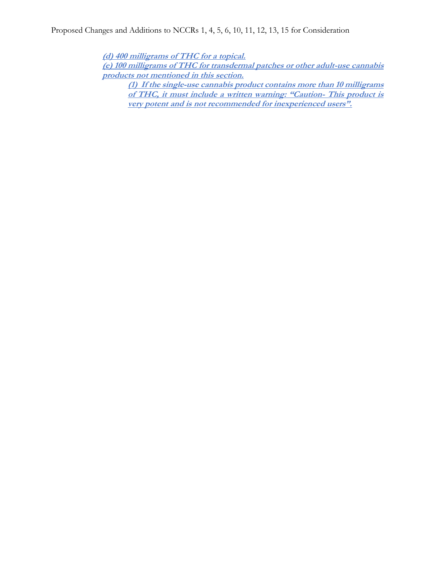**(d) 400 milligrams of THC for a topical.**

**(e) 100 milligrams of THC for transdermal patches or other adult-use cannabis products not mentioned in this section.**

**(1) If the single-use cannabis product contains more than 10 milligrams of THC, it must include a written warning: "Caution- This product is very potent and is not recommended for inexperienced users".**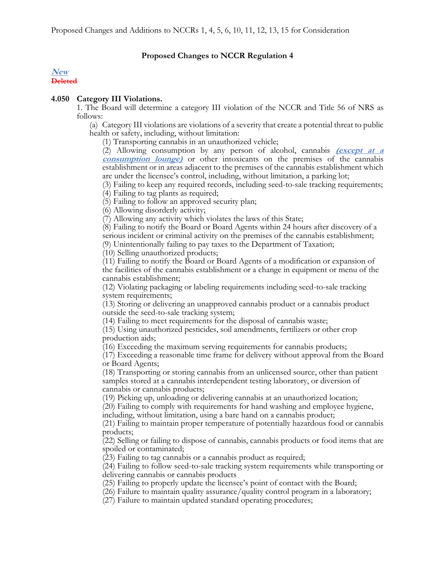### **Proposed Changes to NCCR Regulation 4**

#### **New Deleted**

#### **4.050 Category III Violations.**

1. The Board will determine a category III violation of the NCCR and Title 56 of NRS as follows:

(a) Category III violations are violations of a severity that create a potential threat to public health or safety, including, without limitation:

(1) Transporting cannabis in an unauthorized vehicle;

(2) Allowing consumption by any person of alcohol, cannabis **(except at a consumption lounge)** or other intoxicants on the premises of the cannabis establishment or in areas adjacent to the premises of the cannabis establishment which are under the licensee's control, including, without limitation, a parking lot;

(3) Failing to keep any required records, including seed-to-sale tracking requirements; (4) Failing to tag plants as required;

(5) Failing to follow an approved security plan;

(6) Allowing disorderly activity;

(7) Allowing any activity which violates the laws of this State;

(8) Failing to notify the Board or Board Agents within 24 hours after discovery of a serious incident or criminal activity on the premises of the cannabis establishment; (9) Unintentionally failing to pay taxes to the Department of Taxation;

(10) Selling unauthorized products;

(11) Failing to notify the Board or Board Agents of a modification or expansion of the facilities of the cannabis establishment or a change in equipment or menu of the cannabis establishment;

(12) Violating packaging or labeling requirements including seed-to-sale tracking system requirements;

(13) Storing or delivering an unapproved cannabis product or a cannabis product outside the seed-to-sale tracking system;

(14) Failing to meet requirements for the disposal of cannabis waste;

(15) Using unauthorized pesticides, soil amendments, fertilizers or other crop production aids;

(16) Exceeding the maximum serving requirements for cannabis products;

(17) Exceeding a reasonable time frame for delivery without approval from the Board or Board Agents;

(18) Transporting or storing cannabis from an unlicensed source, other than patient samples stored at a cannabis interdependent testing laboratory, or diversion of cannabis or cannabis products;

(19) Picking up, unloading or delivering cannabis at an unauthorized location;

(20) Failing to comply with requirements for hand washing and employee hygiene, including, without limitation, using a bare hand on a cannabis product;

(21) Failing to maintain proper temperature of potentially hazardous food or cannabis products;

(22) Selling or failing to dispose of cannabis, cannabis products or food items that are spoiled or contaminated;

(23) Failing to tag cannabis or a cannabis product as required;

(24) Failing to follow seed-to-sale tracking system requirements while transporting or delivering cannabis or cannabis products

(25) Failing to properly update the licensee's point of contact with the Board;

(26) Failure to maintain quality assurance/quality control program in a laboratory;

(27) Failure to maintain updated standard operating procedures;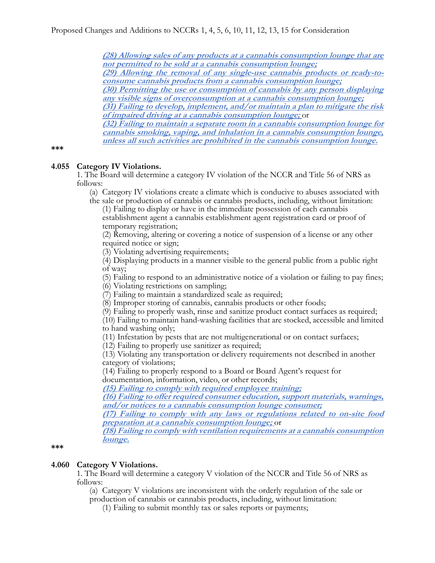**(28) Allowing sales of any products at a cannabis consumption lounge that are not permitted to be sold at a cannabis consumption lounge;**

**(29) Allowing the removal of any single-use cannabis products or ready-toconsume cannabis products from a cannabis consumption lounge;**

**(30) Permitting the use or consumption of cannabis by any person displaying any visible signs of overconsumption at a cannabis consumption lounge;**

**(31) Failing to develop, implement, and/or maintain a plan to mitigate the risk of impaired driving at a cannabis consumption lounge;** or

**(32) Failing to maintain a separate room in a cannabis consumption lounge for cannabis smoking, vaping, and inhalation in a cannabis consumption lounge, unless all such activities are prohibited in the cannabis consumption lounge.**

#### **\*\*\***

#### **4.055 Category IV Violations.**

1. The Board will determine a category IV violation of the NCCR and Title 56 of NRS as follows:

(a) Category IV violations create a climate which is conducive to abuses associated with the sale or production of cannabis or cannabis products, including, without limitation:

(1) Failing to display or have in the immediate possession of each cannabis establishment agent a cannabis establishment agent registration card or proof of temporary registration;

(2) Removing, altering or covering a notice of suspension of a license or any other required notice or sign;

(3) Violating advertising requirements;

(4) Displaying products in a manner visible to the general public from a public right of way;

(5) Failing to respond to an administrative notice of a violation or failing to pay fines;

(6) Violating restrictions on sampling;

(7) Failing to maintain a standardized scale as required;

(8) Improper storing of cannabis, cannabis products or other foods;

(9) Failing to properly wash, rinse and sanitize product contact surfaces as required;

(10) Failing to maintain hand-washing facilities that are stocked, accessible and limited to hand washing only;

(11) Infestation by pests that are not multigenerational or on contact surfaces;

(12) Failing to properly use sanitizer as required;

(13) Violating any transportation or delivery requirements not described in another category of violations;

(14) Failing to properly respond to a Board or Board Agent's request for documentation, information, video, or other records;

**(15) Failing to comply with required employee training;**

**(16) Failing to offer required consumer education, support materials, warnings, and/or notices to a cannabis consumption lounge consumer;**

**(17) Failing to comply with any laws or regulations related to on-site food preparation at a cannabis consumption lounge;** or

**(18) Failing to comply with ventilation requirements at a cannabis consumption lounge.**

#### **\*\*\***

## **4.060 Category V Violations.**

1. The Board will determine a category V violation of the NCCR and Title 56 of NRS as follows:

(a) Category V violations are inconsistent with the orderly regulation of the sale or production of cannabis or cannabis products, including, without limitation:

(1) Failing to submit monthly tax or sales reports or payments;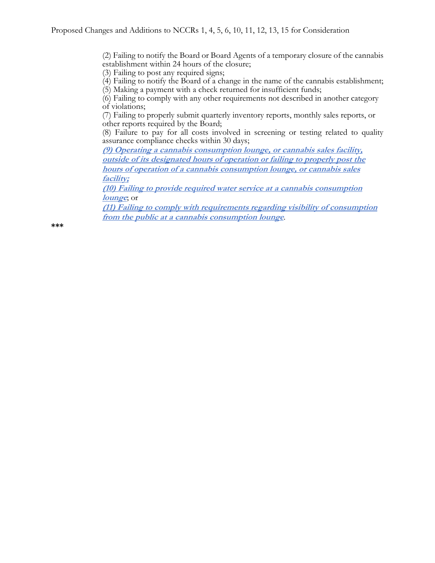(2) Failing to notify the Board or Board Agents of a temporary closure of the cannabis establishment within 24 hours of the closure;

(3) Failing to post any required signs;

(4) Failing to notify the Board of a change in the name of the cannabis establishment;

(5) Making a payment with a check returned for insufficient funds;

(6) Failing to comply with any other requirements not described in another category of violations;

(7) Failing to properly submit quarterly inventory reports, monthly sales reports, or other reports required by the Board;

(8) Failure to pay for all costs involved in screening or testing related to quality assurance compliance checks within 30 days;

**(9) Operating a cannabis consumption lounge, or cannabis sales facility, outside of its designated hours of operation or failing to properly post the hours of operation of a cannabis consumption lounge, or cannabis sales facility;**

**(10) Failing to provide required water service at a cannabis consumption lounge**; or

**(11) Failing to comply with requirements regarding visibility of consumption from the public at a cannabis consumption lounge**.

**\*\*\***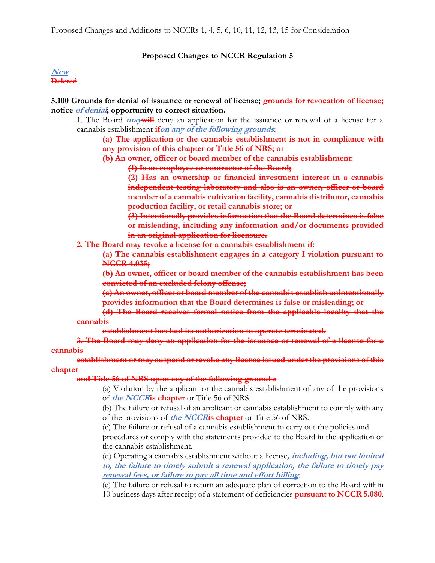#### **Proposed Changes to NCCR Regulation 5**

#### **New Deleted**

**5.100 Grounds for denial of issuance or renewal of license; grounds for revocation of license; notice of denial; opportunity to correct situation.** 

1. The Board **maywill** deny an application for the issuance or renewal of a license for a cannabis establishment **ifon any of the following grounds**:

**(a) The application or the cannabis establishment is not in compliance with any provision of this chapter or Title 56 of NRS; or** 

**(b) An owner, officer or board member of the cannabis establishment:** 

**(1) Is an employee or contractor of the Board;** 

**(2) Has an ownership or financial investment interest in a cannabis independent testing laboratory and also is an owner, officer or board member of a cannabis cultivation facility, cannabis distributor, cannabis production facility, or retail cannabis store; or** 

**(3) Intentionally provides information that the Board determines is false or misleading, including any information and/or documents provided in an original application for licensure.**

**2. The Board may revoke a license for a cannabis establishment if:**

**(a) The cannabis establishment engages in a category I violation pursuant to NCCR 4.035;**

**(b) An owner, officer or board member of the cannabis establishment has been convicted of an excluded felony offense;**

**(c) An owner, officer or board member of the cannabis establish unintentionally provides information that the Board determines is false or misleading; or**

**(d) The Board receives formal notice from the applicable locality that the cannabis**

**establishment has had its authorization to operate terminated.**

**3. The Board may deny an application for the issuance or renewal of a license for a cannabis**

**establishment or may suspend or revoke any license issued under the provisions of this chapter**

**and Title 56 of NRS upon any of the following grounds:**

(a) Violation by the applicant or the cannabis establishment of any of the provisions of **the NCCRis chapter** or Title 56 of NRS.

(b) The failure or refusal of an applicant or cannabis establishment to comply with any of the provisions of **the NCCRis chapter** or Title 56 of NRS.

(c) The failure or refusal of a cannabis establishment to carry out the policies and procedures or comply with the statements provided to the Board in the application of the cannabis establishment.

(d) Operating a cannabis establishment without a license**, including, but not limited to, the failure to timely submit a renewal application, the failure to timely pay renewal fees, or failure to pay all time and effort billing**.

(e) The failure or refusal to return an adequate plan of correction to the Board within 10 business days after receipt of a statement of deficiencies **pursuant to NCCR 5.080**.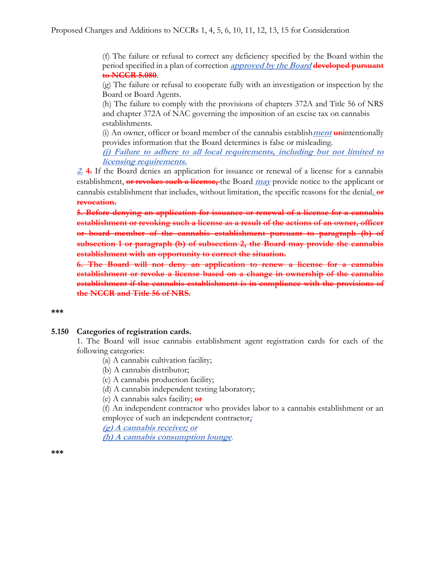(f) The failure or refusal to correct any deficiency specified by the Board within the period specified in a plan of correction **approved by the Board developed pursuant to NCCR 5.080**.

(g) The failure or refusal to cooperate fully with an investigation or inspection by the Board or Board Agents.

(h) The failure to comply with the provisions of chapters 372A and Title 56 of NRS and chapter 372A of NAC governing the imposition of an excise tax on cannabis establishments.

(i) An owner, officer or board member of the cannabis establish**ment un**intentionally provides information that the Board determines is false or misleading.

**(j) Failure to adhere to all local requirements, including but not limited to licensing requirements.**

**2. 4.** If the Board denies an application for issuance or renewal of a license for a cannabis establishment, **or revokes such a license,** the Board **may** provide notice to the applicant or cannabis establishment that includes, without limitation, the specific reasons for the denial**. or revocation.**

**5. Before denying an application for issuance or renewal of a license for a cannabis establishment or revoking such a license as a result of the actions of an owner, officer or board member of the cannabis establishment pursuant to paragraph (b) of subsection 1 or paragraph (b) of subsection 2, the Board may provide the cannabis establishment with an opportunity to correct the situation.** 

**6. The Board will not deny an application to renew a license for a cannabis establishment or revoke a license based on a change in ownership of the cannabis establishment if the cannabis establishment is in compliance with the provisions of the NCCR and Title 56 of NRS.**

#### **\*\*\***

#### **5.150 Categories of registration cards.**

1. The Board will issue cannabis establishment agent registration cards for each of the following categories:

(a) A cannabis cultivation facility;

(b) A cannabis distributor;

(c) A cannabis production facility;

(d) A cannabis independent testing laboratory;

(e) A cannabis sales facility; **or**

(f) An independent contractor who provides labor to a cannabis establishment or an employee of such an independent contractor**;** 

**(g) A cannabis receiver; or**

**(h) A cannabis consumption lounge**.

**\*\*\***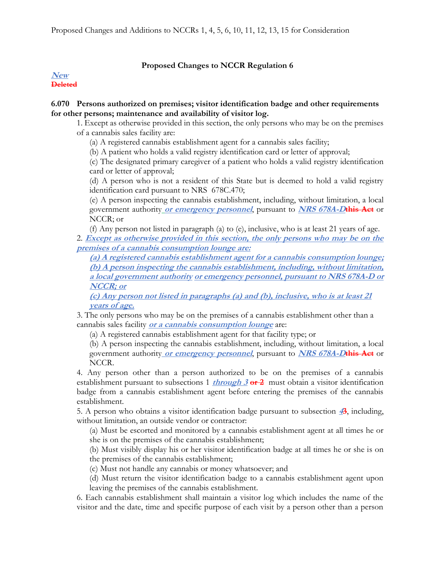## **Proposed Changes to NCCR Regulation 6**

#### **New Deleted**

### **6.070 Persons authorized on premises; visitor identification badge and other requirements for other persons; maintenance and availability of visitor log.**

1. Except as otherwise provided in this section, the only persons who may be on the premises of a cannabis sales facility are:

(a) A registered cannabis establishment agent for a cannabis sales facility;

(b) A patient who holds a valid registry identification card or letter of approval;

(c) The designated primary caregiver of a patient who holds a valid registry identification card or letter of approval;

(d) A person who is not a resident of this State but is deemed to hold a valid registry identification card pursuant to NRS 678C.470;

(e) A person inspecting the cannabis establishment, including, without limitation, a local government authority **or emergency personnel**, pursuant to **NRS 678A-Dthis Act** or NCCR; or

(f) Any person not listed in paragraph (a) to (e), inclusive, who is at least 21 years of age.

2. **Except as otherwise provided in this section, the only persons who may be on the premises of a cannabis consumption lounge are:**

**(a) A registered cannabis establishment agent for a cannabis consumption lounge; (b) A person inspecting the cannabis establishment, including, without limitation, a local government authority or emergency personnel, pursuant to NRS 678A-D or NCCR; or**

**(c) Any person not listed in paragraphs (a) and (b), inclusive, who is at least 21 years of age.**

3. The only persons who may be on the premises of a cannabis establishment other than a cannabis sales facility **or a cannabis consumption lounge** are:

(a) A registered cannabis establishment agent for that facility type; or

(b) A person inspecting the cannabis establishment, including, without limitation, a local government authority **or emergency personnel**, pursuant to **NRS 678A-Dthis Act** or NCCR.

4. Any person other than a person authorized to be on the premises of a cannabis establishment pursuant to subsections 1 *through 3* or 2 must obtain a visitor identification badge from a cannabis establishment agent before entering the premises of the cannabis establishment.

5. A person who obtains a visitor identification badge pursuant to subsection **43**, including, without limitation, an outside vendor or contractor:

(a) Must be escorted and monitored by a cannabis establishment agent at all times he or she is on the premises of the cannabis establishment;

(b) Must visibly display his or her visitor identification badge at all times he or she is on the premises of the cannabis establishment;

(c) Must not handle any cannabis or money whatsoever; and

(d) Must return the visitor identification badge to a cannabis establishment agent upon leaving the premises of the cannabis establishment.

6. Each cannabis establishment shall maintain a visitor log which includes the name of the visitor and the date, time and specific purpose of each visit by a person other than a person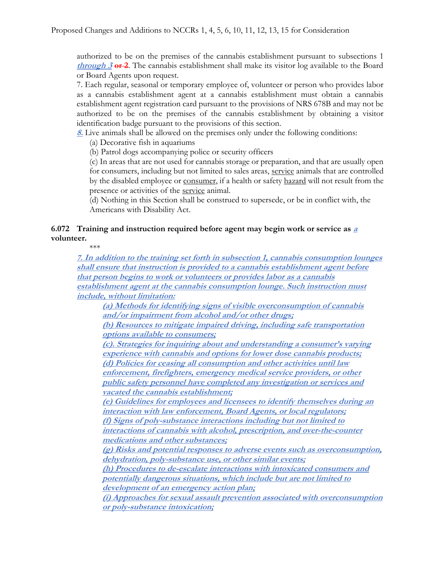authorized to be on the premises of the cannabis establishment pursuant to subsections 1 **through 3 or 2**. The cannabis establishment shall make its visitor log available to the Board or Board Agents upon request.

7. Each regular, seasonal or temporary employee of, volunteer or person who provides labor as a cannabis establishment agent at a cannabis establishment must obtain a cannabis establishment agent registration card pursuant to the provisions of NRS 678B and may not be authorized to be on the premises of the cannabis establishment by obtaining a visitor identification badge pursuant to the provisions of this section.

**8.** Live animals shall be allowed on the premises only under the following conditions:

(a) Decorative fish in aquariums

(b) Patrol dogs accompanying police or security officers

(c) In areas that are not used for cannabis storage or preparation, and that are usually open for consumers, including but not limited to sales areas, [service](https://www.southernnevadahealthdistrict.org/permits-and-regulations/food-establishment-regulations/chapter-1-purpose-and-definitions/) animals that are controlled by the disabled employee or [consumer,](https://www.southernnevadahealthdistrict.org/permits-and-regulations/food-establishment-regulations/chapter-1-purpose-and-definitions/) if a health or safet[y hazard](https://www.southernnevadahealthdistrict.org/permits-and-regulations/food-establishment-regulations/chapter-1-purpose-and-definitions/) will not result from the presence or activities of the [service](https://www.southernnevadahealthdistrict.org/permits-and-regulations/food-establishment-regulations/chapter-1-purpose-and-definitions/) animal.

(d) Nothing in this Section shall be construed to supersede, or be in conflict with, the Americans with Disability Act.

## **6.072 Training and instruction required before agent may begin work or service as <sup>a</sup> volunteer.**

\*\*\*

**7. In addition to the training set forth in subsection 1, cannabis consumption lounges shall ensure that instruction is provided to a cannabis establishment agent before that person begins to work or volunteers or provides labor as a cannabis establishment agent at the cannabis consumption lounge. Such instruction must include, without limitation:**

**(a) Methods for identifying signs of visible overconsumption of cannabis and/or impairment from alcohol and/or other drugs;** 

**(b) Resources to mitigate impaired driving, including safe transportation options available to consumers;** 

**(c). Strategies for inquiring about and understanding a consumer's varying experience with cannabis and options for lower dose cannabis products; (d) Policies for ceasing all consumption and other activities until law enforcement, firefighters, emergency medical service providers, or other public safety personnel have completed any investigation or services and** 

**vacated the cannabis establishment;** 

**(e) Guidelines for employees and licensees to identify themselves during an interaction with law enforcement, Board Agents, or local regulators; (f) Signs of poly-substance interactions including but not limited to interactions of cannabis with alcohol, prescription, and over-the-counter** 

**medications and other substances;** 

**(g) Risks and potential responses to adverse events such as overconsumption, dehydration, poly-substance use, or other similar events;** 

**(h) Procedures to de-escalate interactions with intoxicated consumers and potentially dangerous situations, which include but are not limited to development of an emergency action plan;** 

**(i) Approaches for sexual assault prevention associated with overconsumption or poly-substance intoxication;**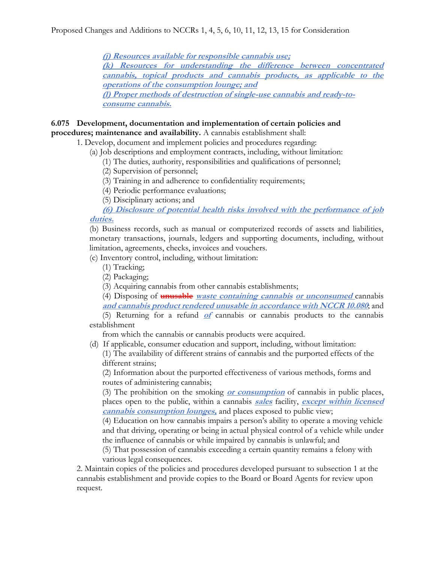**(j) Resources available for responsible cannabis use;**

**(k) Resources for understanding the difference between concentrated cannabis, topical products and cannabis products, as applicable to the operations of the consumption lounge; and**

**(l) Proper methods of destruction of single-use cannabis and ready-toconsume cannabis.**

## **6.075 Development, documentation and implementation of certain policies and procedures; maintenance and availability.** A cannabis establishment shall:

1. Develop, document and implement policies and procedures regarding:

- (a) Job descriptions and employment contracts, including, without limitation:
	- (1) The duties, authority, responsibilities and qualifications of personnel;
	- (2) Supervision of personnel;
	- (3) Training in and adherence to confidentiality requirements;
	- (4) Periodic performance evaluations;
	- (5) Disciplinary actions; and
- **(6) Disclosure of potential health risks involved with the performance of job duties.**

(b) Business records, such as manual or computerized records of assets and liabilities, monetary transactions, journals, ledgers and supporting documents, including, without limitation, agreements, checks, invoices and vouchers.

(c) Inventory control, including, without limitation:

- (1) Tracking;
- (2) Packaging;
- (3) Acquiring cannabis from other cannabis establishments;

(4) Disposing of **unusable waste containing cannabis or unconsumed** cannabis

**and cannabis product rendered unusable in accordance with NCCR 10.080**; and

(5) Returning for a refund **of** cannabis or cannabis products to the cannabis establishment

from which the cannabis or cannabis products were acquired.

(d) If applicable, consumer education and support, including, without limitation:

(1) The availability of different strains of cannabis and the purported effects of the different strains;

(2) Information about the purported effectiveness of various methods, forms and routes of administering cannabis;

(3) The prohibition on the smoking **or consumption** of cannabis in public places, places open to the public, within a cannabis **sales** facility, **except within licensed cannabis consumption lounges,** and places exposed to public view;

(4) Education on how cannabis impairs a person's ability to operate a moving vehicle and that driving, operating or being in actual physical control of a vehicle while under the influence of cannabis or while impaired by cannabis is unlawful; and

(5) That possession of cannabis exceeding a certain quantity remains a felony with various legal consequences.

2. Maintain copies of the policies and procedures developed pursuant to subsection 1 at the cannabis establishment and provide copies to the Board or Board Agents for review upon request.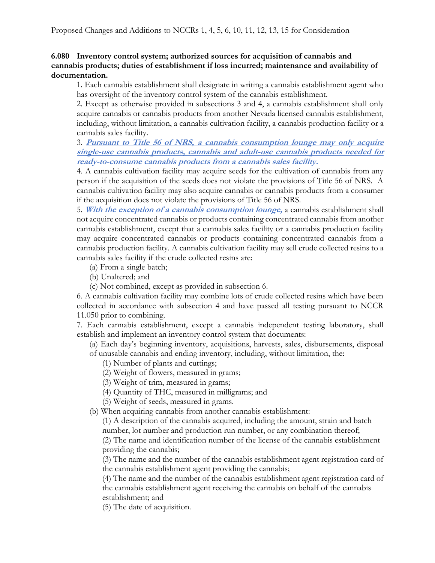## **6.080 Inventory control system; authorized sources for acquisition of cannabis and cannabis products; duties of establishment if loss incurred; maintenance and availability of documentation.**

1. Each cannabis establishment shall designate in writing a cannabis establishment agent who has oversight of the inventory control system of the cannabis establishment.

2. Except as otherwise provided in subsections 3 and 4, a cannabis establishment shall only acquire cannabis or cannabis products from another Nevada licensed cannabis establishment, including, without limitation, a cannabis cultivation facility, a cannabis production facility or a cannabis sales facility.

3. **Pursuant to Title 56 of NRS, <sup>a</sup> cannabis consumption lounge may only acquire single-use cannabis products, cannabis and adult-use cannabis products needed for ready-to-consume cannabis products from a cannabis sales facility.**

4. A cannabis cultivation facility may acquire seeds for the cultivation of cannabis from any person if the acquisition of the seeds does not violate the provisions of Title 56 of NRS. A cannabis cultivation facility may also acquire cannabis or cannabis products from a consumer if the acquisition does not violate the provisions of Title 56 of NRS.

5. **With the exception of a cannabis consumption lounge,** a cannabis establishment shall not acquire concentrated cannabis or products containing concentrated cannabis from another cannabis establishment, except that a cannabis sales facility or a cannabis production facility may acquire concentrated cannabis or products containing concentrated cannabis from a cannabis production facility. A cannabis cultivation facility may sell crude collected resins to a cannabis sales facility if the crude collected resins are:

- (a) From a single batch;
- (b) Unaltered; and
- (c) Not combined, except as provided in subsection 6.

6. A cannabis cultivation facility may combine lots of crude collected resins which have been collected in accordance with subsection 4 and have passed all testing pursuant to NCCR 11.050 prior to combining.

7. Each cannabis establishment, except a cannabis independent testing laboratory, shall establish and implement an inventory control system that documents:

(a) Each day's beginning inventory, acquisitions, harvests, sales, disbursements, disposal of unusable cannabis and ending inventory, including, without limitation, the:

(1) Number of plants and cuttings;

(2) Weight of flowers, measured in grams;

(3) Weight of trim, measured in grams;

(4) Quantity of THC, measured in milligrams; and

(5) Weight of seeds, measured in grams.

(b) When acquiring cannabis from another cannabis establishment:

(1) A description of the cannabis acquired, including the amount, strain and batch number, lot number and production run number, or any combination thereof;

(2) The name and identification number of the license of the cannabis establishment providing the cannabis;

(3) The name and the number of the cannabis establishment agent registration card of the cannabis establishment agent providing the cannabis;

(4) The name and the number of the cannabis establishment agent registration card of the cannabis establishment agent receiving the cannabis on behalf of the cannabis establishment; and

(5) The date of acquisition.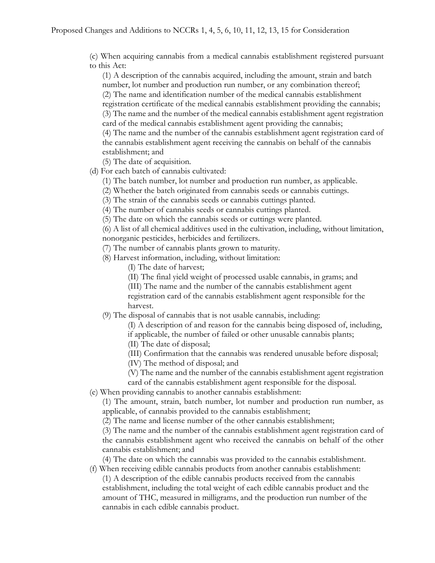(c) When acquiring cannabis from a medical cannabis establishment registered pursuant to this Act:

(1) A description of the cannabis acquired, including the amount, strain and batch number, lot number and production run number, or any combination thereof; (2) The name and identification number of the medical cannabis establishment registration certificate of the medical cannabis establishment providing the cannabis; (3) The name and the number of the medical cannabis establishment agent registration card of the medical cannabis establishment agent providing the cannabis; (4) The name and the number of the cannabis establishment agent registration card of the cannabis establishment agent receiving the cannabis on behalf of the cannabis establishment; and

(5) The date of acquisition.

(d) For each batch of cannabis cultivated:

(1) The batch number, lot number and production run number, as applicable.

(2) Whether the batch originated from cannabis seeds or cannabis cuttings.

(3) The strain of the cannabis seeds or cannabis cuttings planted.

(4) The number of cannabis seeds or cannabis cuttings planted.

(5) The date on which the cannabis seeds or cuttings were planted.

(6) A list of all chemical additives used in the cultivation, including, without limitation, nonorganic pesticides, herbicides and fertilizers.

(7) The number of cannabis plants grown to maturity.

(8) Harvest information, including, without limitation:

(I) The date of harvest;

(II) The final yield weight of processed usable cannabis, in grams; and

(III) The name and the number of the cannabis establishment agent

registration card of the cannabis establishment agent responsible for the harvest.

(9) The disposal of cannabis that is not usable cannabis, including:

(I) A description of and reason for the cannabis being disposed of, including, if applicable, the number of failed or other unusable cannabis plants;

(II) The date of disposal;

(III) Confirmation that the cannabis was rendered unusable before disposal;

(IV) The method of disposal; and

(V) The name and the number of the cannabis establishment agent registration

card of the cannabis establishment agent responsible for the disposal.

(e) When providing cannabis to another cannabis establishment:

(1) The amount, strain, batch number, lot number and production run number, as applicable, of cannabis provided to the cannabis establishment;

(2) The name and license number of the other cannabis establishment;

(3) The name and the number of the cannabis establishment agent registration card of the cannabis establishment agent who received the cannabis on behalf of the other cannabis establishment; and

(4) The date on which the cannabis was provided to the cannabis establishment. (f) When receiving edible cannabis products from another cannabis establishment:

(1) A description of the edible cannabis products received from the cannabis establishment, including the total weight of each edible cannabis product and the amount of THC, measured in milligrams, and the production run number of the cannabis in each edible cannabis product.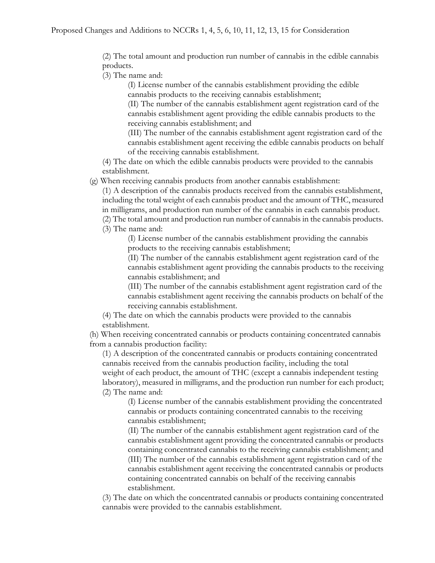(2) The total amount and production run number of cannabis in the edible cannabis products.

(3) The name and:

(I) License number of the cannabis establishment providing the edible cannabis products to the receiving cannabis establishment;

(II) The number of the cannabis establishment agent registration card of the cannabis establishment agent providing the edible cannabis products to the receiving cannabis establishment; and

(III) The number of the cannabis establishment agent registration card of the cannabis establishment agent receiving the edible cannabis products on behalf of the receiving cannabis establishment.

(4) The date on which the edible cannabis products were provided to the cannabis establishment.

(g) When receiving cannabis products from another cannabis establishment:

(1) A description of the cannabis products received from the cannabis establishment, including the total weight of each cannabis product and the amount of THC, measured in milligrams, and production run number of the cannabis in each cannabis product.

(2) The total amount and production run number of cannabis in the cannabis products. (3) The name and:

(I) License number of the cannabis establishment providing the cannabis products to the receiving cannabis establishment;

(II) The number of the cannabis establishment agent registration card of the cannabis establishment agent providing the cannabis products to the receiving cannabis establishment; and

(III) The number of the cannabis establishment agent registration card of the cannabis establishment agent receiving the cannabis products on behalf of the receiving cannabis establishment.

(4) The date on which the cannabis products were provided to the cannabis establishment.

(h) When receiving concentrated cannabis or products containing concentrated cannabis from a cannabis production facility:

(1) A description of the concentrated cannabis or products containing concentrated cannabis received from the cannabis production facility, including the total weight of each product, the amount of THC (except a cannabis independent testing laboratory), measured in milligrams, and the production run number for each product; (2) The name and:

(I) License number of the cannabis establishment providing the concentrated cannabis or products containing concentrated cannabis to the receiving cannabis establishment;

(II) The number of the cannabis establishment agent registration card of the cannabis establishment agent providing the concentrated cannabis or products containing concentrated cannabis to the receiving cannabis establishment; and (III) The number of the cannabis establishment agent registration card of the cannabis establishment agent receiving the concentrated cannabis or products containing concentrated cannabis on behalf of the receiving cannabis establishment.

(3) The date on which the concentrated cannabis or products containing concentrated cannabis were provided to the cannabis establishment.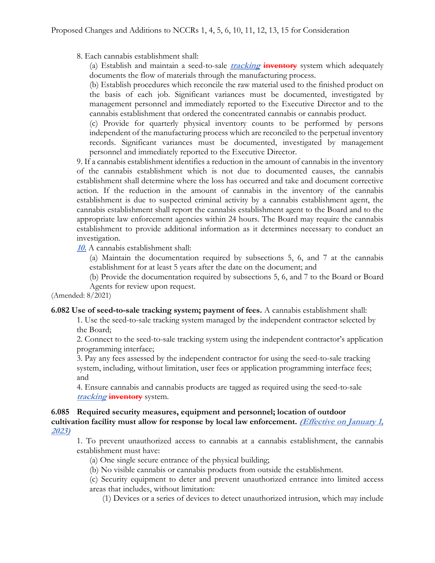8. Each cannabis establishment shall:

(a) Establish and maintain a seed-to-sale **tracking inventory** system which adequately documents the flow of materials through the manufacturing process.

(b) Establish procedures which reconcile the raw material used to the finished product on the basis of each job. Significant variances must be documented, investigated by management personnel and immediately reported to the Executive Director and to the cannabis establishment that ordered the concentrated cannabis or cannabis product.

(c) Provide for quarterly physical inventory counts to be performed by persons independent of the manufacturing process which are reconciled to the perpetual inventory records. Significant variances must be documented, investigated by management personnel and immediately reported to the Executive Director.

9. If a cannabis establishment identifies a reduction in the amount of cannabis in the inventory of the cannabis establishment which is not due to documented causes, the cannabis establishment shall determine where the loss has occurred and take and document corrective action. If the reduction in the amount of cannabis in the inventory of the cannabis establishment is due to suspected criminal activity by a cannabis establishment agent, the cannabis establishment shall report the cannabis establishment agent to the Board and to the appropriate law enforcement agencies within 24 hours. The Board may require the cannabis establishment to provide additional information as it determines necessary to conduct an investigation.

**10.** A cannabis establishment shall:

(a) Maintain the documentation required by subsections 5, 6, and 7 at the cannabis establishment for at least 5 years after the date on the document; and

(b) Provide the documentation required by subsections 5, 6, and 7 to the Board or Board Agents for review upon request.

(Amended: 8/2021)

**6.082 Use of seed-to-sale tracking system; payment of fees.** A cannabis establishment shall:

1. Use the seed-to-sale tracking system managed by the independent contractor selected by the Board;

2. Connect to the seed-to-sale tracking system using the independent contractor's application programming interface;

3. Pay any fees assessed by the independent contractor for using the seed-to-sale tracking system, including, without limitation, user fees or application programming interface fees; and

4. Ensure cannabis and cannabis products are tagged as required using the seed-to-sale **tracking inventory** system.

#### **6.085 Required security measures, equipment and personnel; location of outdoor**  cultivation facility must allow for response by local law enforcement. *(Effective on January 1,*) **2023)**

1. To prevent unauthorized access to cannabis at a cannabis establishment, the cannabis establishment must have:

(a) One single secure entrance of the physical building;

(b) No visible cannabis or cannabis products from outside the establishment.

(c) Security equipment to deter and prevent unauthorized entrance into limited access areas that includes, without limitation:

(1) Devices or a series of devices to detect unauthorized intrusion, which may include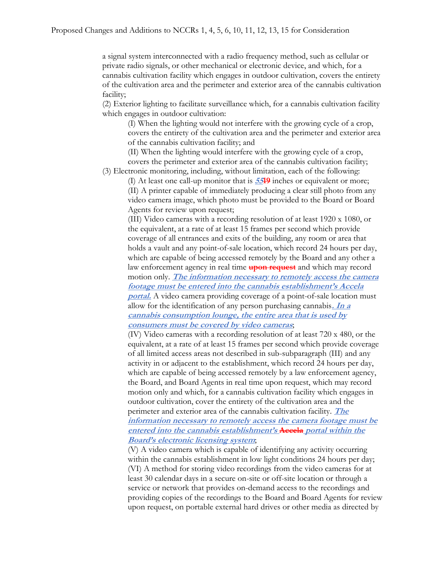a signal system interconnected with a radio frequency method, such as cellular or private radio signals, or other mechanical or electronic device, and which, for a cannabis cultivation facility which engages in outdoor cultivation, covers the entirety of the cultivation area and the perimeter and exterior area of the cannabis cultivation facility;

(2) Exterior lighting to facilitate surveillance which, for a cannabis cultivation facility which engages in outdoor cultivation:

(I) When the lighting would not interfere with the growing cycle of a crop, covers the entirety of the cultivation area and the perimeter and exterior area of the cannabis cultivation facility; and

(II) When the lighting would interfere with the growing cycle of a crop, covers the perimeter and exterior area of the cannabis cultivation facility;

(3) Electronic monitoring, including, without limitation, each of the following:

(I) At least one call-up monitor that is **5519** inches or equivalent or more; (II) A printer capable of immediately producing a clear still photo from any video camera image, which photo must be provided to the Board or Board Agents for review upon request;

(III) Video cameras with a recording resolution of at least 1920 x 1080, or the equivalent, at a rate of at least 15 frames per second which provide coverage of all entrances and exits of the building, any room or area that holds a vault and any point-of-sale location, which record 24 hours per day, which are capable of being accessed remotely by the Board and any other a law enforcement agency in real time **upon request** and which may record motion only. **The information necessary to remotely access the camera footage must be entered into the cannabis establishment'<sup>s</sup> Accela portal.** A video camera providing coverage of a point-of-sale location must allow for the identification of any person purchasing cannabis**. In a cannabis consumption lounge, the entire area that is used by consumers must be covered by video cameras**;

(IV) Video cameras with a recording resolution of at least 720 x 480, or the equivalent, at a rate of at least 15 frames per second which provide coverage of all limited access areas not described in sub-subparagraph (III) and any activity in or adjacent to the establishment, which record 24 hours per day, which are capable of being accessed remotely by a law enforcement agency, the Board, and Board Agents in real time upon request, which may record motion only and which, for a cannabis cultivation facility which engages in outdoor cultivation, cover the entirety of the cultivation area and the perimeter and exterior area of the cannabis cultivation facility. **The** 

**information necessary to remotely access the camera footage must be entered into the cannabis establishment's Accela portal within the Board's electronic licensing system**;

(V) A video camera which is capable of identifying any activity occurring within the cannabis establishment in low light conditions 24 hours per day; (VI) A method for storing video recordings from the video cameras for at least 30 calendar days in a secure on-site or off-site location or through a service or network that provides on-demand access to the recordings and providing copies of the recordings to the Board and Board Agents for review upon request, on portable external hard drives or other media as directed by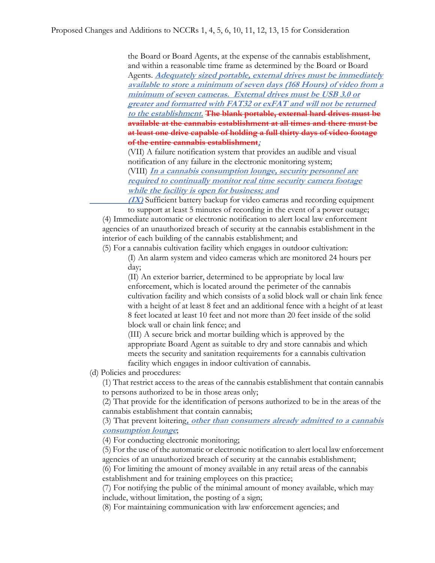the Board or Board Agents, at the expense of the cannabis establishment, and within a reasonable time frame as determined by the Board or Board Agents. **Adequately sized portable, external drives must be immediately available to store a minimum of seven days (168 Hours) of video from a minimum of seven cameras. External drives must be USB 3.0 or greater and formatted with FAT32 or exFAT and will not be returned to the establishment. The blank portable, external hard drives must be available at the cannabis establishment at all times and there must be at least one drive capable of holding a full thirty days of video footage of the entire cannabis establishment;**

(VII) A failure notification system that provides an audible and visual notification of any failure in the electronic monitoring system;

(VIII) **In a cannabis consumption lounge, security personnel are required to continually monitor real time security camera footage while the facility is open for business; and**

**(IX)** Sufficient battery backup for video cameras and recording equipment to support at least 5 minutes of recording in the event of a power outage;

(4) Immediate automatic or electronic notification to alert local law enforcement agencies of an unauthorized breach of security at the cannabis establishment in the interior of each building of the cannabis establishment; and

(5) For a cannabis cultivation facility which engages in outdoor cultivation:

(I) An alarm system and video cameras which are monitored 24 hours per day;

(II) An exterior barrier, determined to be appropriate by local law enforcement, which is located around the perimeter of the cannabis cultivation facility and which consists of a solid block wall or chain link fence with a height of at least 8 feet and an additional fence with a height of at least 8 feet located at least 10 feet and not more than 20 feet inside of the solid block wall or chain link fence; and

(III) A secure brick and mortar building which is approved by the appropriate Board Agent as suitable to dry and store cannabis and which meets the security and sanitation requirements for a cannabis cultivation facility which engages in indoor cultivation of cannabis.

(d) Policies and procedures:

(1) That restrict access to the areas of the cannabis establishment that contain cannabis to persons authorized to be in those areas only;

(2) That provide for the identification of persons authorized to be in the areas of the cannabis establishment that contain cannabis;

(3) That prevent loitering**, other than consumers already admitted to a cannabis consumption lounge**;

(4) For conducting electronic monitoring;

(5) For the use of the automatic or electronic notification to alert local law enforcement agencies of an unauthorized breach of security at the cannabis establishment;

(6) For limiting the amount of money available in any retail areas of the cannabis establishment and for training employees on this practice;

(7) For notifying the public of the minimal amount of money available, which may include, without limitation, the posting of a sign;

(8) For maintaining communication with law enforcement agencies; and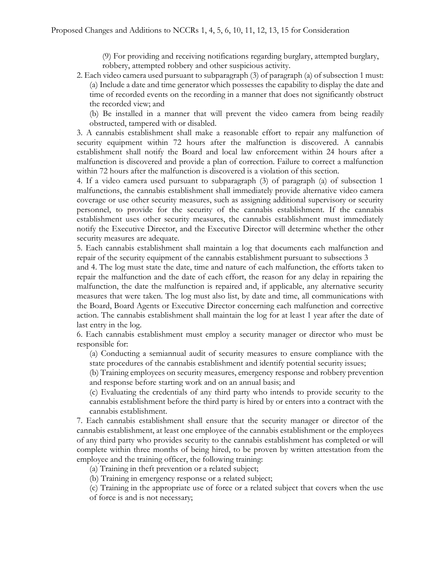(9) For providing and receiving notifications regarding burglary, attempted burglary, robbery, attempted robbery and other suspicious activity.

2. Each video camera used pursuant to subparagraph (3) of paragraph (a) of subsection 1 must: (a) Include a date and time generator which possesses the capability to display the date and time of recorded events on the recording in a manner that does not significantly obstruct the recorded view; and

(b) Be installed in a manner that will prevent the video camera from being readily obstructed, tampered with or disabled.

3. A cannabis establishment shall make a reasonable effort to repair any malfunction of security equipment within 72 hours after the malfunction is discovered. A cannabis establishment shall notify the Board and local law enforcement within 24 hours after a malfunction is discovered and provide a plan of correction. Failure to correct a malfunction within 72 hours after the malfunction is discovered is a violation of this section.

4. If a video camera used pursuant to subparagraph (3) of paragraph (a) of subsection 1 malfunctions, the cannabis establishment shall immediately provide alternative video camera coverage or use other security measures, such as assigning additional supervisory or security personnel, to provide for the security of the cannabis establishment. If the cannabis establishment uses other security measures, the cannabis establishment must immediately notify the Executive Director, and the Executive Director will determine whether the other security measures are adequate.

5. Each cannabis establishment shall maintain a log that documents each malfunction and repair of the security equipment of the cannabis establishment pursuant to subsections 3

and 4. The log must state the date, time and nature of each malfunction, the efforts taken to repair the malfunction and the date of each effort, the reason for any delay in repairing the malfunction, the date the malfunction is repaired and, if applicable, any alternative security measures that were taken. The log must also list, by date and time, all communications with the Board, Board Agents or Executive Director concerning each malfunction and corrective action. The cannabis establishment shall maintain the log for at least 1 year after the date of last entry in the log.

6. Each cannabis establishment must employ a security manager or director who must be responsible for:

(a) Conducting a semiannual audit of security measures to ensure compliance with the state procedures of the cannabis establishment and identify potential security issues;

(b) Training employees on security measures, emergency response and robbery prevention and response before starting work and on an annual basis; and

(c) Evaluating the credentials of any third party who intends to provide security to the cannabis establishment before the third party is hired by or enters into a contract with the cannabis establishment.

7. Each cannabis establishment shall ensure that the security manager or director of the cannabis establishment, at least one employee of the cannabis establishment or the employees of any third party who provides security to the cannabis establishment has completed or will complete within three months of being hired, to be proven by written attestation from the employee and the training officer, the following training:

(a) Training in theft prevention or a related subject;

(b) Training in emergency response or a related subject;

(c) Training in the appropriate use of force or a related subject that covers when the use of force is and is not necessary;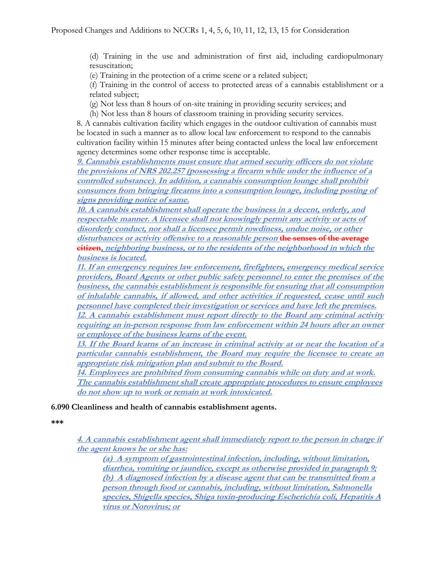(d) Training in the use and administration of first aid, including cardiopulmonary resuscitation;

(e) Training in the protection of a crime scene or a related subject;

(f) Training in the control of access to protected areas of a cannabis establishment or a related subject;

(g) Not less than 8 hours of on-site training in providing security services; and

(h) Not less than 8 hours of classroom training in providing security services.

8. A cannabis cultivation facility which engages in the outdoor cultivation of cannabis must be located in such a manner as to allow local law enforcement to respond to the cannabis cultivation facility within 15 minutes after being contacted unless the local law enforcement agency determines some other response time is acceptable.

**9. Cannabis establishments must ensure that armed security officers do not violate the provisions of NRS 202.257 (possessing a firearm while under the influence of a controlled substance). In addition, a cannabis consumption lounge shall prohibit consumers from bringing firearms into a consumption lounge, including posting of signs providing notice of same.**

**10. A cannabis establishment shall operate the business in a decent, orderly, and respectable manner. A licensee shall not knowingly permit any activity or acts of disorderly conduct, nor shall a licensee permit rowdiness, undue noise, or other disturbances or activity offensive to <sup>a</sup> reasonable person the senses of the average citizen, neighboring business, or to the residents of the neighborhood in which the business is located.**

**11. If an emergency requires law enforcement, firefighters, emergency medical service providers, Board Agents or other public safety personnel to enter the premises of the business, the cannabis establishment is responsible for ensuring that all consumption of inhalable cannabis, if allowed, and other activities if requested, cease until such personnel have completed their investigation or services and have left the premises.**

**12. A cannabis establishment must report directly to the Board any criminal activity requiring an in-person response from law enforcement within 24 hours after an owner or employee of the business learns of the event.**

**13. If the Board learns of an increase in criminal activity at or near the location of a particular cannabis establishment, the Board may require the licensee to create an appropriate risk mitigation plan and submit to the Board.**

**14. Employees are prohibited from consuming cannabis while on duty and at work. The cannabis establishment shall create appropriate procedures to ensure employees do not show up to work or remain at work intoxicated.**

**6.090 Cleanliness and health of cannabis establishment agents.**

**\*\*\***

**4. A cannabis establishment agent shall immediately report to the person in charge if the agent knows he or she has:**

**(a) A symptom of gastrointestinal infection, including, without limitation, diarrhea, vomiting or jaundice, except as otherwise provided in paragraph 9; (b) A diagnosed infection by a disease agent that can be transmitted from a person through food or cannabis, including, without limitation, Salmonella species, Shigella species, Shiga toxin-producing Escherichia coli, Hepatitis A virus or Norovirus; or**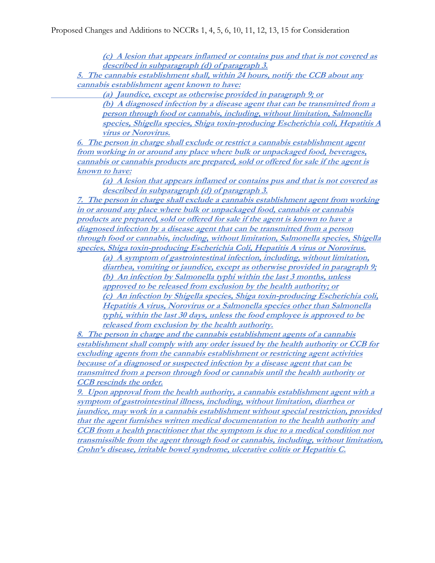**(c) A lesion that appears inflamed or contains pus and that is not covered as described in subparagraph (d) of paragraph 3.**

**5. The cannabis establishment shall, within 24 hours, notify the CCB about any cannabis establishment agent known to have:**

 **(a) Jaundice, except as otherwise provided in paragraph 9; or**

**(b) A diagnosed infection by a disease agent that can be transmitted from a person through food or cannabis, including, without limitation, Salmonella species, Shigella species, Shiga toxin-producing Escherichia coli, Hepatitis A virus or Norovirus.**

**6. The person in charge shall exclude or restrict a cannabis establishment agent from working in or around any place where bulk or unpackaged food, beverages, cannabis or cannabis products are prepared, sold or offered for sale if the agent is known to have:**

**(a) A lesion that appears inflamed or contains pus and that is not covered as described in subparagraph (d) of paragraph 3.**

**7. The person in charge shall exclude a cannabis establishment agent from working in or around any place where bulk or unpackaged food, cannabis or cannabis products are prepared, sold or offered for sale if the agent is known to have a diagnosed infection by a disease agent that can be transmitted from a person through food or cannabis, including, without limitation, Salmonella species, Shigella species, Shiga toxin-producing Escherichia Coli, Hepatitis A virus or Norovirus.**

**(a) A symptom of gastrointestinal infection, including, without limitation, diarrhea, vomiting or jaundice, except as otherwise provided in paragraph 9; (b) An infection by Salmonella typhi within the last 3 months, unless approved to be released from exclusion by the health authority; or (c) An infection by Shigella species, Shiga toxin-producing Escherichia coli, Hepatitis A virus, Norovirus or a Salmonella species other than Salmonella typhi, within the last 30 days, unless the food employee is approved to be released from exclusion by the health authority.**

**8. The person in charge and the cannabis establishment agents of a cannabis establishment shall comply with any order issued by the health authority or CCB for excluding agents from the cannabis establishment or restricting agent activities because of a diagnosed or suspected infection by a disease agent that can be transmitted from a person through food or cannabis until the health authority or CCB rescinds the order.**

**9. Upon approval from the health authority, a cannabis establishment agent with a symptom of gastrointestinal illness, including, without limitation, diarrhea or jaundice, may work in a cannabis establishment without special restriction, provided that the agent furnishes written medical documentation to the health authority and CCB from a health practitioner that the symptom is due to a medical condition not transmissible from the agent through food or cannabis, including, without limitation, Crohn's disease, irritable bowel syndrome, ulcerative colitis or Hepatitis C.**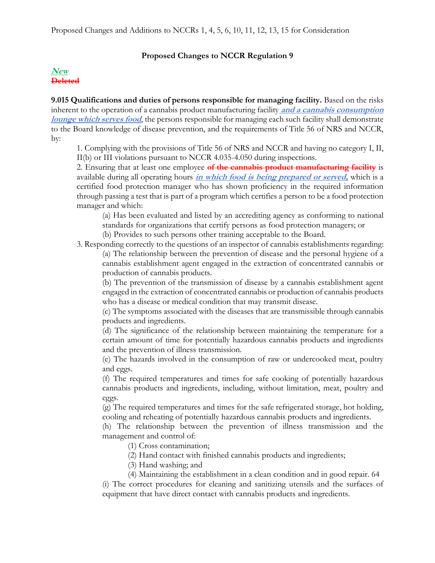## **Proposed Changes to NCCR Regulation 9**

## **New Deleted**

**9.015 Qualifications and duties of persons responsible for managing facility.** Based on the risks inherent to the operation of a cannabis product manufacturing facility **and a cannabis consumption lounge which serves food**, the persons responsible for managing each such facility shall demonstrate to the Board knowledge of disease prevention, and the requirements of Title 56 of NRS and NCCR, by:

1. Complying with the provisions of Title 56 of NRS and NCCR and having no category I, II, II(b) or III violations pursuant to NCCR 4.035-4.050 during inspections.

2. Ensuring that at least one employee **of the cannabis product manufacturing facility** is available during all operating hours **in which food is being prepared or served,** which is a certified food protection manager who has shown proficiency in the required information through passing a test that is part of a program which certifies a person to be a food protection manager and which:

(a) Has been evaluated and listed by an accrediting agency as conforming to national standards for organizations that certify persons as food protection managers; or

(b) Provides to such persons other training acceptable to the Board.

3. Responding correctly to the questions of an inspector of cannabis establishments regarding: (a) The relationship between the prevention of disease and the personal hygiene of a cannabis establishment agent engaged in the extraction of concentrated cannabis or production of cannabis products.

(b) The prevention of the transmission of disease by a cannabis establishment agent engaged in the extraction of concentrated cannabis or production of cannabis products who has a disease or medical condition that may transmit disease.

(c) The symptoms associated with the diseases that are transmissible through cannabis products and ingredients.

(d) The significance of the relationship between maintaining the temperature for a certain amount of time for potentially hazardous cannabis products and ingredients and the prevention of illness transmission.

(e) The hazards involved in the consumption of raw or undercooked meat, poultry and eggs.

(f) The required temperatures and times for safe cooking of potentially hazardous cannabis products and ingredients, including, without limitation, meat, poultry and eggs.

(g) The required temperatures and times for the safe refrigerated storage, hot holding, cooling and reheating of potentially hazardous cannabis products and ingredients.

(h) The relationship between the prevention of illness transmission and the management and control of:

(1) Cross contamination;

(2) Hand contact with finished cannabis products and ingredients;

(3) Hand washing; and

(4) Maintaining the establishment in a clean condition and in good repair. 64 (i) The correct procedures for cleaning and sanitizing utensils and the surfaces of equipment that have direct contact with cannabis products and ingredients.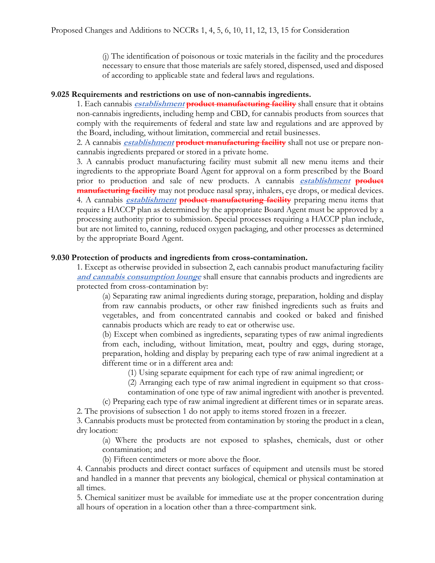(j) The identification of poisonous or toxic materials in the facility and the procedures necessary to ensure that those materials are safely stored, dispensed, used and disposed of according to applicable state and federal laws and regulations.

#### **9.025 Requirements and restrictions on use of non-cannabis ingredients.**

1. Each cannabis **establishment product manufacturing facility** shall ensure that it obtains non-cannabis ingredients, including hemp and CBD, for cannabis products from sources that comply with the requirements of federal and state law and regulations and are approved by the Board, including, without limitation, commercial and retail businesses.

2. A cannabis **establishment product manufacturing facility** shall not use or prepare noncannabis ingredients prepared or stored in a private home.

3. A cannabis product manufacturing facility must submit all new menu items and their ingredients to the appropriate Board Agent for approval on a form prescribed by the Board prior to production and sale of new products. A cannabis **establishment product manufacturing facility** may not produce nasal spray, inhalers, eye drops, or medical devices. 4. A cannabis **establishment product manufacturing facility** preparing menu items that require a HACCP plan as determined by the appropriate Board Agent must be approved by a processing authority prior to submission. Special processes requiring a HACCP plan include, but are not limited to, canning, reduced oxygen packaging, and other processes as determined by the appropriate Board Agent.

### **9.030 Protection of products and ingredients from cross-contamination.**

1. Except as otherwise provided in subsection 2, each cannabis product manufacturing facility **and cannabis consumption lounge** shall ensure that cannabis products and ingredients are protected from cross-contamination by:

(a) Separating raw animal ingredients during storage, preparation, holding and display from raw cannabis products, or other raw finished ingredients such as fruits and vegetables, and from concentrated cannabis and cooked or baked and finished cannabis products which are ready to eat or otherwise use.

(b) Except when combined as ingredients, separating types of raw animal ingredients from each, including, without limitation, meat, poultry and eggs, during storage, preparation, holding and display by preparing each type of raw animal ingredient at a different time or in a different area and:

(1) Using separate equipment for each type of raw animal ingredient; or

(2) Arranging each type of raw animal ingredient in equipment so that crosscontamination of one type of raw animal ingredient with another is prevented.

(c) Preparing each type of raw animal ingredient at different times or in separate areas. 2. The provisions of subsection 1 do not apply to items stored frozen in a freezer.

3. Cannabis products must be protected from contamination by storing the product in a clean, dry location:

(a) Where the products are not exposed to splashes, chemicals, dust or other contamination; and

(b) Fifteen centimeters or more above the floor.

4. Cannabis products and direct contact surfaces of equipment and utensils must be stored and handled in a manner that prevents any biological, chemical or physical contamination at all times.

5. Chemical sanitizer must be available for immediate use at the proper concentration during all hours of operation in a location other than a three-compartment sink.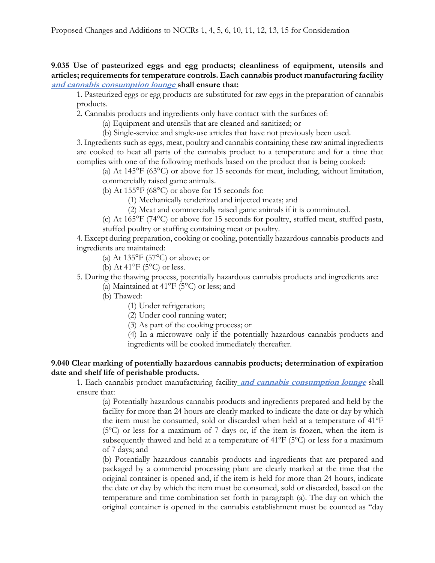### **9.035 Use of pasteurized eggs and egg products; cleanliness of equipment, utensils and articles; requirements for temperature controls. Each cannabis product manufacturing facility and cannabis consumption lounge shall ensure that:**

1. Pasteurized eggs or egg products are substituted for raw eggs in the preparation of cannabis products.

2. Cannabis products and ingredients only have contact with the surfaces of:

(a) Equipment and utensils that are cleaned and sanitized; or

(b) Single-service and single-use articles that have not previously been used.

3. Ingredients such as eggs, meat, poultry and cannabis containing these raw animal ingredients are cooked to heat all parts of the cannabis product to a temperature and for a time that complies with one of the following methods based on the product that is being cooked:

(a) At 145°F (63°C) or above for 15 seconds for meat, including, without limitation, commercially raised game animals.

(b) At 155°F (68°C) or above for 15 seconds for:

(1) Mechanically tenderized and injected meats; and

(2) Meat and commercially raised game animals if it is comminuted.

(c) At 165°F (74°C) or above for 15 seconds for poultry, stuffed meat, stuffed pasta, stuffed poultry or stuffing containing meat or poultry.

4. Except during preparation, cooking or cooling, potentially hazardous cannabis products and ingredients are maintained:

(a) At 135°F (57°C) or above; or

(b) At  $41^{\circ}F$  (5°C) or less.

5. During the thawing process, potentially hazardous cannabis products and ingredients are:

(a) Maintained at 41°F (5°C) or less; and

(b) Thawed:

(1) Under refrigeration;

(2) Under cool running water;

(3) As part of the cooking process; or

(4) In a microwave only if the potentially hazardous cannabis products and ingredients will be cooked immediately thereafter.

### **9.040 Clear marking of potentially hazardous cannabis products; determination of expiration date and shelf life of perishable products.**

1. Each cannabis product manufacturing facility **and cannabis consumption lounge** shall ensure that:

(a) Potentially hazardous cannabis products and ingredients prepared and held by the facility for more than 24 hours are clearly marked to indicate the date or day by which the item must be consumed, sold or discarded when held at a temperature of 41ºF (5ºC) or less for a maximum of 7 days or, if the item is frozen, when the item is subsequently thawed and held at a temperature of  $41^{\circ}F$  (5 $^{\circ}C$ ) or less for a maximum of 7 days; and

(b) Potentially hazardous cannabis products and ingredients that are prepared and packaged by a commercial processing plant are clearly marked at the time that the original container is opened and, if the item is held for more than 24 hours, indicate the date or day by which the item must be consumed, sold or discarded, based on the temperature and time combination set forth in paragraph (a). The day on which the original container is opened in the cannabis establishment must be counted as "day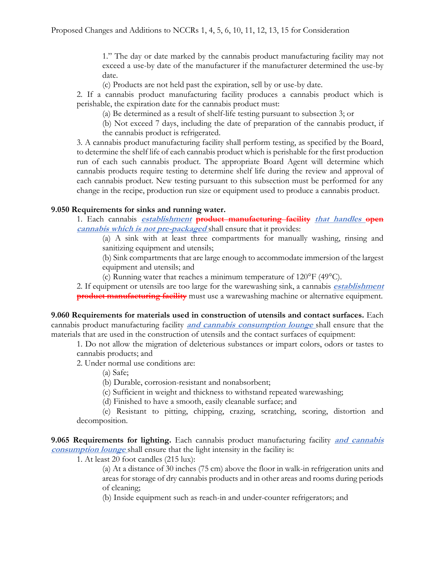1." The day or date marked by the cannabis product manufacturing facility may not exceed a use-by date of the manufacturer if the manufacturer determined the use-by date.

(c) Products are not held past the expiration, sell by or use-by date.

2. If a cannabis product manufacturing facility produces a cannabis product which is perishable, the expiration date for the cannabis product must:

(a) Be determined as a result of shelf-life testing pursuant to subsection 3; or

(b) Not exceed 7 days, including the date of preparation of the cannabis product, if the cannabis product is refrigerated.

3. A cannabis product manufacturing facility shall perform testing, as specified by the Board, to determine the shelf life of each cannabis product which is perishable for the first production run of each such cannabis product. The appropriate Board Agent will determine which cannabis products require testing to determine shelf life during the review and approval of each cannabis product. New testing pursuant to this subsection must be performed for any change in the recipe, production run size or equipment used to produce a cannabis product.

## **9.050 Requirements for sinks and running water.**

1. Each cannabis **establishment product manufacturing facility that handles open cannabis which is not pre-packaged** shall ensure that it provides:

(a) A sink with at least three compartments for manually washing, rinsing and sanitizing equipment and utensils;

(b) Sink compartments that are large enough to accommodate immersion of the largest equipment and utensils; and

(c) Running water that reaches a minimum temperature of 120°F (49°C).

2. If equipment or utensils are too large for the warewashing sink, a cannabis **establishment product manufacturing facility** must use a warewashing machine or alternative equipment.

**9.060 Requirements for materials used in construction of utensils and contact surfaces.** Each cannabis product manufacturing facility **and cannabis consumption lounge** shall ensure that the materials that are used in the construction of utensils and the contact surfaces of equipment:

1. Do not allow the migration of deleterious substances or impart colors, odors or tastes to cannabis products; and

2. Under normal use conditions are:

(a) Safe;

(b) Durable, corrosion-resistant and nonabsorbent;

(c) Sufficient in weight and thickness to withstand repeated warewashing;

(d) Finished to have a smooth, easily cleanable surface; and

(e) Resistant to pitting, chipping, crazing, scratching, scoring, distortion and decomposition.

**9.065 Requirements for lighting.** Each cannabis product manufacturing facility **and cannabis consumption lounge** shall ensure that the light intensity in the facility is:

1. At least 20 foot candles (215 lux):

(a) At a distance of 30 inches (75 cm) above the floor in walk-in refrigeration units and areas for storage of dry cannabis products and in other areas and rooms during periods of cleaning;

(b) Inside equipment such as reach-in and under-counter refrigerators; and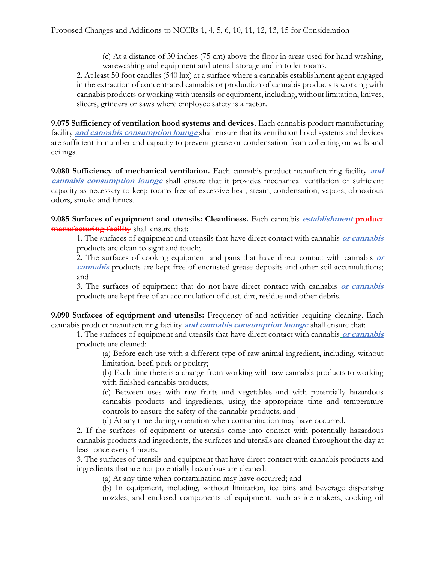(c) At a distance of 30 inches (75 cm) above the floor in areas used for hand washing, warewashing and equipment and utensil storage and in toilet rooms.

2. At least 50 foot candles (540 lux) at a surface where a cannabis establishment agent engaged in the extraction of concentrated cannabis or production of cannabis products is working with cannabis products or working with utensils or equipment, including, without limitation, knives, slicers, grinders or saws where employee safety is a factor.

**9.075 Sufficiency of ventilation hood systems and devices.** Each cannabis product manufacturing facility **and cannabis consumption lounge** shall ensure that its ventilation hood systems and devices are sufficient in number and capacity to prevent grease or condensation from collecting on walls and ceilings.

**9.080 Sufficiency of mechanical ventilation.** Each cannabis product manufacturing facility **and cannabis consumption lounge** shall ensure that it provides mechanical ventilation of sufficient capacity as necessary to keep rooms free of excessive heat, steam, condensation, vapors, obnoxious odors, smoke and fumes.

**9.085 Surfaces of equipment and utensils: Cleanliness.** Each cannabis **establishment product manufacturing facility** shall ensure that:

1. The surfaces of equipment and utensils that have direct contact with cannabis **or cannabis**  products are clean to sight and touch;

2. The surfaces of cooking equipment and pans that have direct contact with cannabis **or cannabis** products are kept free of encrusted grease deposits and other soil accumulations; and

3. The surfaces of equipment that do not have direct contact with cannabis **or cannabis** products are kept free of an accumulation of dust, dirt, residue and other debris.

**9.090 Surfaces of equipment and utensils:** Frequency of and activities requiring cleaning. Each cannabis product manufacturing facility **and cannabis consumption lounge** shall ensure that:

1. The surfaces of equipment and utensils that have direct contact with cannabis **or cannabis** products are cleaned:

(a) Before each use with a different type of raw animal ingredient, including, without limitation, beef, pork or poultry;

(b) Each time there is a change from working with raw cannabis products to working with finished cannabis products;

(c) Between uses with raw fruits and vegetables and with potentially hazardous cannabis products and ingredients, using the appropriate time and temperature controls to ensure the safety of the cannabis products; and

(d) At any time during operation when contamination may have occurred.

2. If the surfaces of equipment or utensils come into contact with potentially hazardous cannabis products and ingredients, the surfaces and utensils are cleaned throughout the day at least once every 4 hours.

3. The surfaces of utensils and equipment that have direct contact with cannabis products and ingredients that are not potentially hazardous are cleaned:

(a) At any time when contamination may have occurred; and

(b) In equipment, including, without limitation, ice bins and beverage dispensing nozzles, and enclosed components of equipment, such as ice makers, cooking oil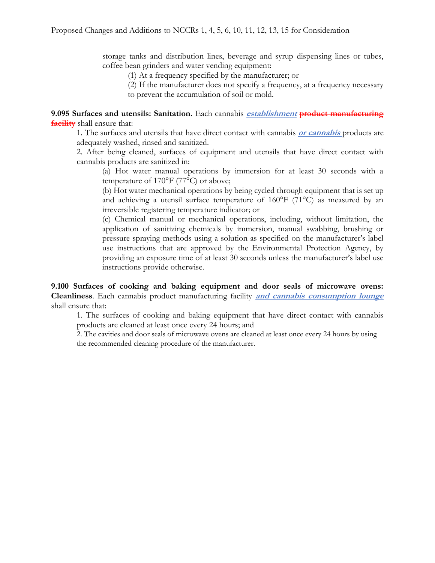storage tanks and distribution lines, beverage and syrup dispensing lines or tubes, coffee bean grinders and water vending equipment:

(1) At a frequency specified by the manufacturer; or

(2) If the manufacturer does not specify a frequency, at a frequency necessary to prevent the accumulation of soil or mold.

**9.095 Surfaces and utensils: Sanitation.** Each cannabis **establishment product manufacturing facility** shall ensure that:

1. The surfaces and utensils that have direct contact with cannabis **or cannabis** products are adequately washed, rinsed and sanitized.

2. After being cleaned, surfaces of equipment and utensils that have direct contact with cannabis products are sanitized in:

(a) Hot water manual operations by immersion for at least 30 seconds with a temperature of 170°F (77°C) or above;

(b) Hot water mechanical operations by being cycled through equipment that is set up and achieving a utensil surface temperature of 160°F (71°C) as measured by an irreversible registering temperature indicator; or

(c) Chemical manual or mechanical operations, including, without limitation, the application of sanitizing chemicals by immersion, manual swabbing, brushing or pressure spraying methods using a solution as specified on the manufacturer's label use instructions that are approved by the Environmental Protection Agency, by providing an exposure time of at least 30 seconds unless the manufacturer's label use instructions provide otherwise.

**9.100 Surfaces of cooking and baking equipment and door seals of microwave ovens: Cleanliness**. Each cannabis product manufacturing facility **and cannabis consumption lounge**  shall ensure that:

1. The surfaces of cooking and baking equipment that have direct contact with cannabis products are cleaned at least once every 24 hours; and

2. The cavities and door seals of microwave ovens are cleaned at least once every 24 hours by using the recommended cleaning procedure of the manufacturer.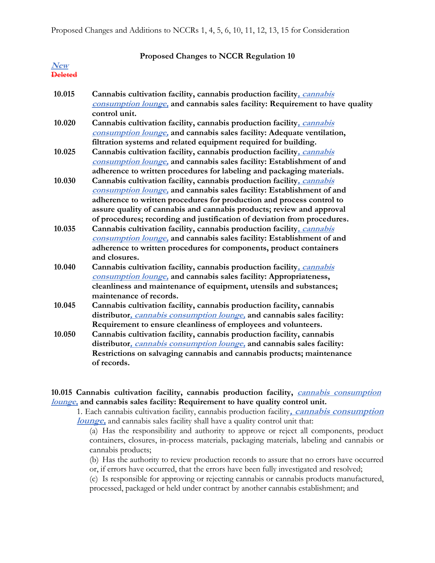|                       | Proposed Changes to NCCR Regulation 10                                                                                                                                                                                                                                                                                                                                       |
|-----------------------|------------------------------------------------------------------------------------------------------------------------------------------------------------------------------------------------------------------------------------------------------------------------------------------------------------------------------------------------------------------------------|
| New<br><b>Deleted</b> |                                                                                                                                                                                                                                                                                                                                                                              |
| 10.015                | Cannabis cultivation facility, cannabis production facility, cannabis<br>consumption lounge, and cannabis sales facility: Requirement to have quality<br>control unit.                                                                                                                                                                                                       |
| 10.020                | Cannabis cultivation facility, cannabis production facility, cannabis<br>consumption lounge, and cannabis sales facility: Adequate ventilation,<br>filtration systems and related equipment required for building.                                                                                                                                                           |
| 10.025                | Cannabis cultivation facility, cannabis production facility, cannabis<br>consumption lounge, and cannabis sales facility: Establishment of and<br>adherence to written procedures for labeling and packaging materials.                                                                                                                                                      |
| 10.030                | Cannabis cultivation facility, cannabis production facility, cannabis<br>consumption lounge, and cannabis sales facility: Establishment of and<br>adherence to written procedures for production and process control to<br>assure quality of cannabis and cannabis products; review and approval<br>of procedures; recording and justification of deviation from procedures. |
| 10.035                | Cannabis cultivation facility, cannabis production facility, cannabis<br>consumption lounge, and cannabis sales facility: Establishment of and<br>adherence to written procedures for components, product containers<br>and closures.                                                                                                                                        |
| 10.040                | Cannabis cultivation facility, cannabis production facility, cannabis<br>consumption lounge, and cannabis sales facility: Appropriateness,<br>cleanliness and maintenance of equipment, utensils and substances;<br>maintenance of records.                                                                                                                                  |
| 10.045                | Cannabis cultivation facility, cannabis production facility, cannabis<br>distributor, <i>cannabis consumption lounge</i> , and cannabis sales facility:<br>Requirement to ensure cleanliness of employees and volunteers.                                                                                                                                                    |
| 10.050                | Cannabis cultivation facility, cannabis production facility, cannabis<br>distributor, cannabis consumption lounge, and cannabis sales facility:<br>Restrictions on salvaging cannabis and cannabis products; maintenance<br>of records.                                                                                                                                      |

### **10.015 Cannabis cultivation facility, cannabis production facility, cannabis consumption lounge, and cannabis sales facility: Requirement to have quality control unit.**

1. Each cannabis cultivation facility, cannabis production facility**, cannabis consumption lounge,** and cannabis sales facility shall have a quality control unit that:

(a) Has the responsibility and authority to approve or reject all components, product containers, closures, in-process materials, packaging materials, labeling and cannabis or cannabis products;

(b) Has the authority to review production records to assure that no errors have occurred

or, if errors have occurred, that the errors have been fully investigated and resolved;

(c) Is responsible for approving or rejecting cannabis or cannabis products manufactured, processed, packaged or held under contract by another cannabis establishment; and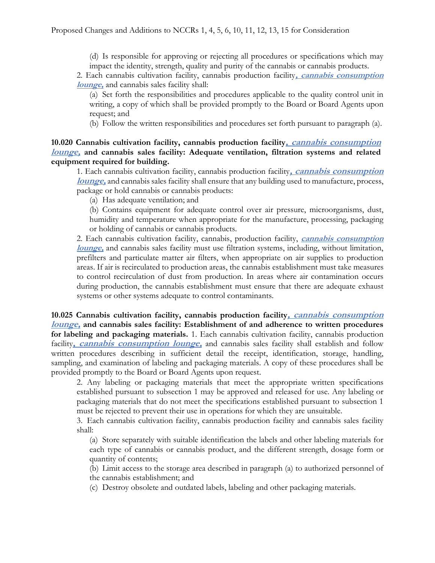(d) Is responsible for approving or rejecting all procedures or specifications which may impact the identity, strength, quality and purity of the cannabis or cannabis products.

2. Each cannabis cultivation facility, cannabis production facility**, cannabis consumption lounge,** and cannabis sales facility shall:

(a) Set forth the responsibilities and procedures applicable to the quality control unit in writing, a copy of which shall be provided promptly to the Board or Board Agents upon request; and

(b) Follow the written responsibilities and procedures set forth pursuant to paragraph (a).

**10.020 Cannabis cultivation facility, cannabis production facility, cannabis consumption lounge, and cannabis sales facility: Adequate ventilation, filtration systems and related equipment required for building.**

1. Each cannabis cultivation facility, cannabis production facility**, cannabis consumption lounge,** and cannabis sales facility shall ensure that any building used to manufacture, process, package or hold cannabis or cannabis products:

(a) Has adequate ventilation; and

(b) Contains equipment for adequate control over air pressure, microorganisms, dust, humidity and temperature when appropriate for the manufacture, processing, packaging or holding of cannabis or cannabis products.

2. Each cannabis cultivation facility, cannabis, production facility, **cannabis consumption lounge,** and cannabis sales facility must use filtration systems, including, without limitation, prefilters and particulate matter air filters, when appropriate on air supplies to production areas. If air is recirculated to production areas, the cannabis establishment must take measures to control recirculation of dust from production. In areas where air contamination occurs during production, the cannabis establishment must ensure that there are adequate exhaust systems or other systems adequate to control contaminants.

**10.025 Cannabis cultivation facility, cannabis production facility, cannabis consumption lounge, and cannabis sales facility: Establishment of and adherence to written procedures for labeling and packaging materials.** 1. Each cannabis cultivation facility, cannabis production facility, *cannabis consumption lounge*, and cannabis sales facility shall establish and follow written procedures describing in sufficient detail the receipt, identification, storage, handling, sampling, and examination of labeling and packaging materials. A copy of these procedures shall be provided promptly to the Board or Board Agents upon request.

2. Any labeling or packaging materials that meet the appropriate written specifications established pursuant to subsection 1 may be approved and released for use. Any labeling or packaging materials that do not meet the specifications established pursuant to subsection 1 must be rejected to prevent their use in operations for which they are unsuitable.

3. Each cannabis cultivation facility, cannabis production facility and cannabis sales facility shall:

(a) Store separately with suitable identification the labels and other labeling materials for each type of cannabis or cannabis product, and the different strength, dosage form or quantity of contents;

(b) Limit access to the storage area described in paragraph (a) to authorized personnel of the cannabis establishment; and

(c) Destroy obsolete and outdated labels, labeling and other packaging materials.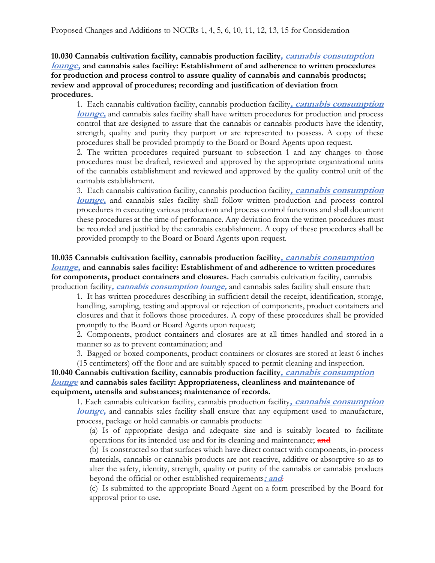**10.030 Cannabis cultivation facility, cannabis production facility, cannabis consumption lounge, and cannabis sales facility: Establishment of and adherence to written procedures for production and process control to assure quality of cannabis and cannabis products; review and approval of procedures; recording and justification of deviation from procedures.**

1. Each cannabis cultivation facility, cannabis production facility**, cannabis consumption lounge,** and cannabis sales facility shall have written procedures for production and process control that are designed to assure that the cannabis or cannabis products have the identity, strength, quality and purity they purport or are represented to possess. A copy of these procedures shall be provided promptly to the Board or Board Agents upon request.

2. The written procedures required pursuant to subsection 1 and any changes to those procedures must be drafted, reviewed and approved by the appropriate organizational units of the cannabis establishment and reviewed and approved by the quality control unit of the cannabis establishment.

3. Each cannabis cultivation facility, cannabis production facility**, cannabis consumption lounge,** and cannabis sales facility shall follow written production and process control procedures in executing various production and process control functions and shall document these procedures at the time of performance. Any deviation from the written procedures must be recorded and justified by the cannabis establishment. A copy of these procedures shall be provided promptly to the Board or Board Agents upon request.

**10.035 Cannabis cultivation facility, cannabis production facility, cannabis consumption lounge, and cannabis sales facility: Establishment of and adherence to written procedures for components, product containers and closures.** Each cannabis cultivation facility, cannabis production facility**, cannabis consumption lounge,** and cannabis sales facility shall ensure that:

1. It has written procedures describing in sufficient detail the receipt, identification, storage, handling, sampling, testing and approval or rejection of components, product containers and closures and that it follows those procedures. A copy of these procedures shall be provided promptly to the Board or Board Agents upon request;

2. Components, product containers and closures are at all times handled and stored in a manner so as to prevent contamination; and

3. Bagged or boxed components, product containers or closures are stored at least 6 inches (15 centimeters) off the floor and are suitably spaced to permit cleaning and inspection.

**10.040 Cannabis cultivation facility, cannabis production facility, cannabis consumption lounge and cannabis sales facility: Appropriateness, cleanliness and maintenance of equipment, utensils and substances; maintenance of records.**

1. Each cannabis cultivation facility, cannabis production facility**, cannabis consumption lounge,** and cannabis sales facility shall ensure that any equipment used to manufacture, process, package or hold cannabis or cannabis products:

(a) Is of appropriate design and adequate size and is suitably located to facilitate operations for its intended use and for its cleaning and maintenance; **and**

(b) Is constructed so that surfaces which have direct contact with components, in-process materials, cannabis or cannabis products are not reactive, additive or absorptive so as to alter the safety, identity, strength, quality or purity of the cannabis or cannabis products beyond the official or other established requirements**; and**.

(c) Is submitted to the appropriate Board Agent on a form prescribed by the Board for approval prior to use.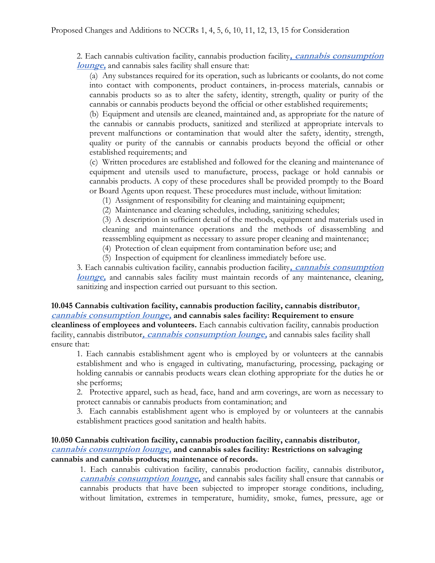2. Each cannabis cultivation facility, cannabis production facility**, cannabis consumption lounge,** and cannabis sales facility shall ensure that:

(a) Any substances required for its operation, such as lubricants or coolants, do not come into contact with components, product containers, in-process materials, cannabis or cannabis products so as to alter the safety, identity, strength, quality or purity of the cannabis or cannabis products beyond the official or other established requirements;

(b) Equipment and utensils are cleaned, maintained and, as appropriate for the nature of the cannabis or cannabis products, sanitized and sterilized at appropriate intervals to prevent malfunctions or contamination that would alter the safety, identity, strength, quality or purity of the cannabis or cannabis products beyond the official or other established requirements; and

(c) Written procedures are established and followed for the cleaning and maintenance of equipment and utensils used to manufacture, process, package or hold cannabis or cannabis products. A copy of these procedures shall be provided promptly to the Board or Board Agents upon request. These procedures must include, without limitation:

(1) Assignment of responsibility for cleaning and maintaining equipment;

(2) Maintenance and cleaning schedules, including, sanitizing schedules;

(3) A description in sufficient detail of the methods, equipment and materials used in cleaning and maintenance operations and the methods of disassembling and reassembling equipment as necessary to assure proper cleaning and maintenance;

(4) Protection of clean equipment from contamination before use; and

(5) Inspection of equipment for cleanliness immediately before use.

3. Each cannabis cultivation facility, cannabis production facility**, cannabis consumption lounge,** and cannabis sales facility must maintain records of any maintenance, cleaning, sanitizing and inspection carried out pursuant to this section.

# **10.045 Cannabis cultivation facility, cannabis production facility, cannabis distributor, cannabis consumption lounge, and cannabis sales facility: Requirement to ensure**

**cleanliness of employees and volunteers.** Each cannabis cultivation facility, cannabis production facility, cannabis distributor**, cannabis consumption lounge,** and cannabis sales facility shall ensure that:

1. Each cannabis establishment agent who is employed by or volunteers at the cannabis establishment and who is engaged in cultivating, manufacturing, processing, packaging or holding cannabis or cannabis products wears clean clothing appropriate for the duties he or she performs;

2. Protective apparel, such as head, face, hand and arm coverings, are worn as necessary to protect cannabis or cannabis products from contamination; and

3. Each cannabis establishment agent who is employed by or volunteers at the cannabis establishment practices good sanitation and health habits.

## **10.050 Cannabis cultivation facility, cannabis production facility, cannabis distributor, cannabis consumption lounge, and cannabis sales facility: Restrictions on salvaging cannabis and cannabis products; maintenance of records.**

1. Each cannabis cultivation facility, cannabis production facility, cannabis distributor**, cannabis consumption lounge,** and cannabis sales facility shall ensure that cannabis or cannabis products that have been subjected to improper storage conditions, including, without limitation, extremes in temperature, humidity, smoke, fumes, pressure, age or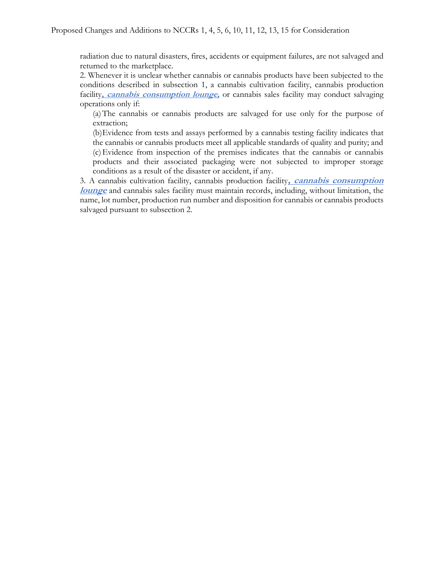radiation due to natural disasters, fires, accidents or equipment failures, are not salvaged and returned to the marketplace.

2. Whenever it is unclear whether cannabis or cannabis products have been subjected to the conditions described in subsection 1, a cannabis cultivation facility, cannabis production facility, *cannabis consumption lounge*, or cannabis sales facility may conduct salvaging operations only if:

(a)The cannabis or cannabis products are salvaged for use only for the purpose of extraction;

(b)Evidence from tests and assays performed by a cannabis testing facility indicates that the cannabis or cannabis products meet all applicable standards of quality and purity; and (c)Evidence from inspection of the premises indicates that the cannabis or cannabis products and their associated packaging were not subjected to improper storage conditions as a result of the disaster or accident, if any.

3. A cannabis cultivation facility, cannabis production facility**, cannabis consumption lounge** and cannabis sales facility must maintain records, including, without limitation, the name, lot number, production run number and disposition for cannabis or cannabis products salvaged pursuant to subsection 2.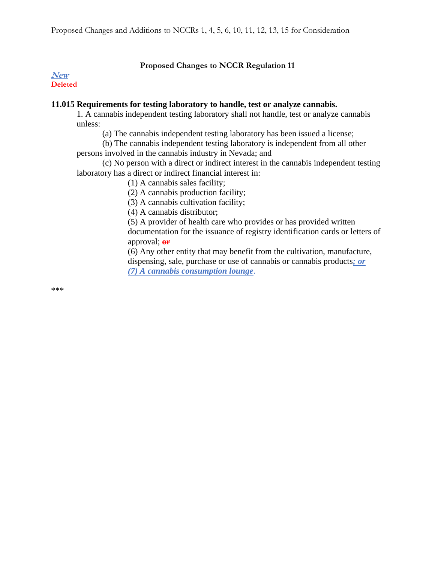## **Proposed Changes to NCCR Regulation 11**

**New Deleted**

## **11.015 Requirements for testing laboratory to handle, test or analyze cannabis.**

1. A cannabis independent testing laboratory shall not handle, test or analyze cannabis unless:

(a) The cannabis independent testing laboratory has been issued a license;

(b) The cannabis independent testing laboratory is independent from all other persons involved in the cannabis industry in Nevada; and

(c) No person with a direct or indirect interest in the cannabis independent testing laboratory has a direct or indirect financial interest in:

(1) A cannabis sales facility;

(2) A cannabis production facility;

(3) A cannabis cultivation facility;

(4) A cannabis distributor;

(5) A provider of health care who provides or has provided written documentation for the issuance of registry identification cards or letters of approval; **or**

(6) Any other entity that may benefit from the cultivation, manufacture, dispensing, sale, purchase or use of cannabis or cannabis products*; or (7) A cannabis consumption lounge*.

\*\*\*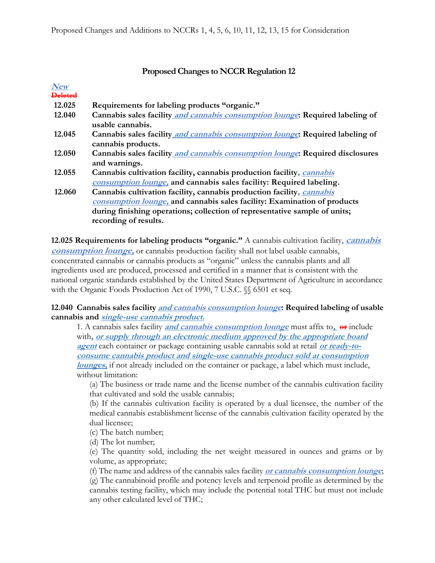## **Proposed Changes to NCCR Regulation 12**

| $\boldsymbol{N}\!\boldsymbol{e}\boldsymbol{w}$ |                                                                               |
|------------------------------------------------|-------------------------------------------------------------------------------|
| <b>Deleted</b>                                 |                                                                               |
| 12.025                                         | Requirements for labeling products "organic."                                 |
| 12.040                                         | Cannabis sales facility and cannabis consumption lounge: Required labeling of |
|                                                | usable cannabis.                                                              |
| 12.045                                         | Cannabis sales facility and cannabis consumption lounge: Required labeling of |
|                                                | cannabis products.                                                            |
| 12.050                                         | Cannabis sales facility and cannabis consumption lounge: Required disclosures |
|                                                | and warnings.                                                                 |
| 12.055                                         | Cannabis cultivation facility, cannabis production facility, cannabis         |
|                                                | consumption lounge, and cannabis sales facility: Required labeling.           |
| 12.060                                         | Cannabis cultivation facility, cannabis production facility, cannabis         |
|                                                | consumption lounge, and cannabis sales facility: Examination of products      |
|                                                | during finishing operations; collection of representative sample of units;    |
|                                                | recording of results.                                                         |
|                                                |                                                                               |

**12.025 Requirements for labeling products "organic."** A cannabis cultivation facility, **cannabis consumption lounge,** or cannabis production facility shall not label usable cannabis, concentrated cannabis or cannabis products as "organic" unless the cannabis plants and all ingredients used are produced, processed and certified in a manner that is consistent with the national organic standards established by the United States Department of Agriculture in accordance with the Organic Foods Production Act of 1990, 7 U.S.C. §§ 6501 et seq.

## **12.040 Cannabis sales facility and cannabis consumption lounge: Required labeling of usable cannabis and single-use cannabis product.**

1. A cannabis sales facility **and cannabis consumption lounge** must affix to**, or** include with**, or supply through an electronic medium approved by the appropriate board agent** each container or package containing usable cannabis sold at retail **or ready-toconsume cannabis product and single-use cannabis product sold at consumption lounges,** if not already included on the container or package, a label which must include, without limitation:

(a) The business or trade name and the license number of the cannabis cultivation facility that cultivated and sold the usable cannabis;

(b) If the cannabis cultivation facility is operated by a dual licensee, the number of the medical cannabis establishment license of the cannabis cultivation facility operated by the dual licensee;

(c) The batch number;

(d) The lot number;

(e) The quantity sold, including the net weight measured in ounces and grams or by volume, as appropriate;

(f) The name and address of the cannabis sales facility **or cannabis consumption lounge**; (g) The cannabinoid profile and potency levels and terpenoid profile as determined by the cannabis testing facility, which may include the potential total THC but must not include any other calculated level of THC;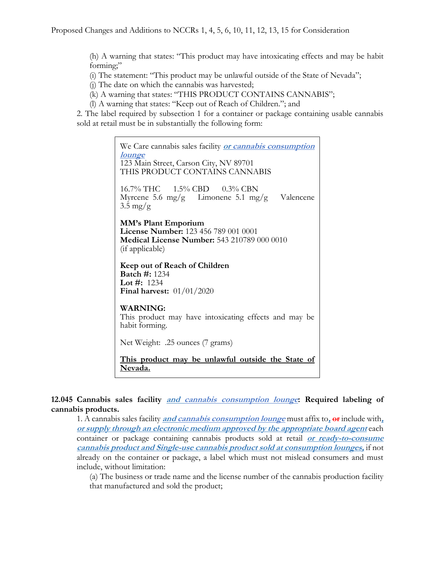(h) A warning that states: "This product may have intoxicating effects and may be habit forming;"

(i) The statement: "This product may be unlawful outside of the State of Nevada";

(j) The date on which the cannabis was harvested;

(k) A warning that states: "THIS PRODUCT CONTAINS CANNABIS";

(l) A warning that states: "Keep out of Reach of Children."; and

2. The label required by subsection 1 for a container or package containing usable cannabis sold at retail must be in substantially the following form:

> We Care cannabis sales facility **or cannabis consumption lounge** 123 Main Street, Carson City, NV 89701 THIS PRODUCT CONTAINS CANNABIS 16.7% THC 1.5% CBD 0.3% CBN Myrcene 5.6 mg/g Limonene 5.1 mg/g Valencene  $3.5 \text{ mg/g}$ **MM's Plant Emporium License Number:** 123 456 789 001 0001 **Medical License Number:** 543 210789 000 0010 (if applicable) **Keep out of Reach of Children Batch #:** 1234 **Lot #:** 1234 **Final harvest:** 01/01/2020 **WARNING:** This product may have intoxicating effects and may be habit forming. Net Weight: .25 ounces (7 grams) **This product may be unlawful outside the State of Nevada.**

### **12.045 Cannabis sales facility and cannabis consumption lounge: Required labeling of cannabis products.**

1. A cannabis sales facility **and cannabis consumption lounge** must affix to**, or** include with**, or supply through an electronic medium approved by the appropriate board agent** each container or package containing cannabis products sold at retail **or ready-to-consume cannabis product and Single-use cannabis product sold at consumption lounges,** if not already on the container or package, a label which must not mislead consumers and must include, without limitation:

(a) The business or trade name and the license number of the cannabis production facility that manufactured and sold the product;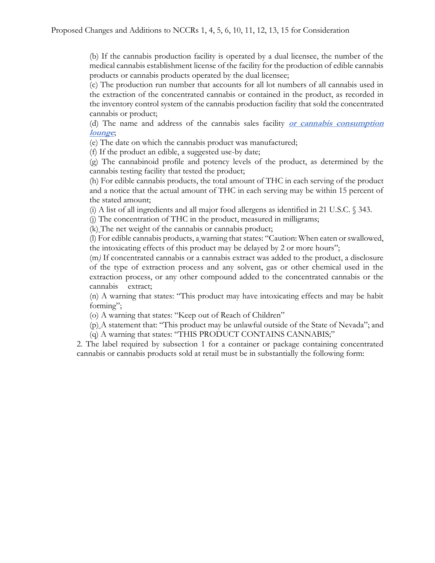(b) If the cannabis production facility is operated by a dual licensee, the number of the medical cannabis establishment license of the facility for the production of edible cannabis products or cannabis products operated by the dual licensee;

(c) The production run number that accounts for all lot numbers of all cannabis used in the extraction of the concentrated cannabis or contained in the product, as recorded in the inventory control system of the cannabis production facility that sold the concentrated cannabis or product;

(d) The name and address of the cannabis sales facility **or cannabis consumption lounge**;

(e) The date on which the cannabis product was manufactured;

(f) If the product an edible, a suggested use-by date;

(g) The cannabinoid profile and potency levels of the product, as determined by the cannabis testing facility that tested the product;

(h) For edible cannabis products, the total amount of THC in each serving of the product and a notice that the actual amount of THC in each serving may be within 15 percent of the stated amount;

(i) A list of all ingredients and all major food allergens as identified in 21 U.S.C. § 343.

(j) The concentration of THC in the product, measured in milligrams;

(k) The net weight of the cannabis or cannabis product;

(l) For edible cannabis products, a warning that states: "Caution: When eaten or swallowed, the intoxicating effects of this product may be delayed by 2 or more hours";

(m*)* If concentrated cannabis or a cannabis extract was added to the product, a disclosure of the type of extraction process and any solvent, gas or other chemical used in the extraction process, or any other compound added to the concentrated cannabis or the cannabis extract;

(n) A warning that states: "This product may have intoxicating effects and may be habit forming";

(o) A warning that states: "Keep out of Reach of Children"

(p) A statement that: "This product may be unlawful outside of the State of Nevada"; and (q) A warning that states: "THIS PRODUCT CONTAINS CANNABIS;"

2. The label required by subsection 1 for a container or package containing concentrated cannabis or cannabis products sold at retail must be in substantially the following form: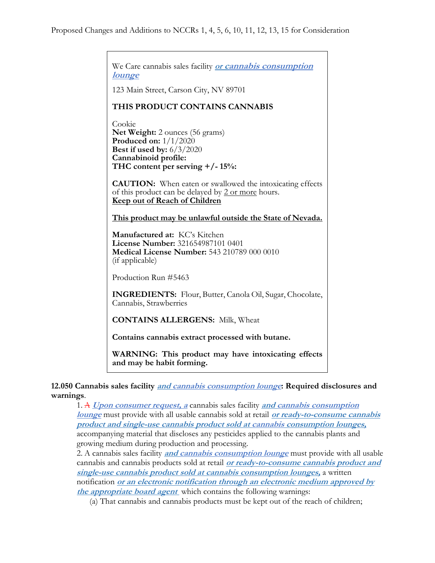We Care cannabis sales facility **or cannabis consumption lounge** 123 Main Street, Carson City, NV 89701 **THIS PRODUCT CONTAINS CANNABIS** Cookie **Net Weight:** 2 ounces (56 grams) **Produced on:** 1/1/2020 **Best if used by:** 6/3/2020 **Cannabinoid profile: THC content per serving +/- 15%: CAUTION:** When eaten or swallowed the intoxicating effects of this product can be delayed by 2 or more hours. **Keep out of Reach of Children This product may be unlawful outside the State of Nevada. Manufactured at:** KC's Kitchen **License Number:** 321654987101 0401 **Medical License Number:** 543 210789 000 0010 (if applicable) Production Run #5463 **INGREDIENTS:** Flour, Butter, Canola Oil, Sugar, Chocolate, Cannabis, Strawberries

**CONTAINS ALLERGENS:** Milk, Wheat

**Contains cannabis extract processed with butane.**

**WARNING: This product may have intoxicating effects and may be habit forming.**

**12.050 Cannabis sales facility and cannabis consumption lounge: Required disclosures and warnings**.

1. A **Upon consumer request, a** cannabis sales facility **and cannabis consumption lounge** must provide with all usable cannabis sold at retail **or ready-to-consume cannabis product and single-use cannabis product sold at cannabis consumption lounges,** accompanying material that discloses any pesticides applied to the cannabis plants and growing medium during production and processing.

2. A cannabis sales facility **and cannabis consumption lounge** must provide with all usable cannabis and cannabis products sold at retail **or ready-to-consume cannabis product and single-use cannabis product sold at cannabis consumption lounges,** a written notification **or an electronic notification through an electronic medium approved by the appropriate board agent** which contains the following warnings:

(a) That cannabis and cannabis products must be kept out of the reach of children;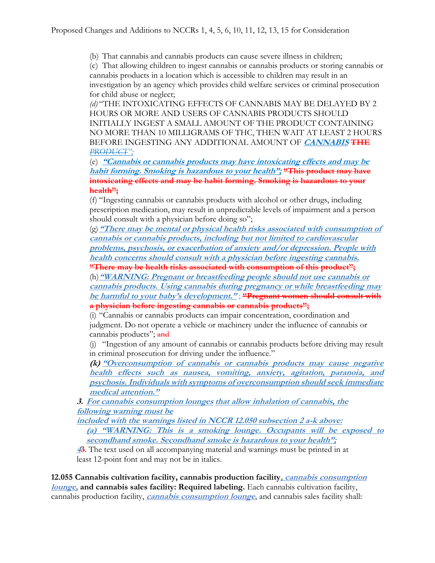(b) That cannabis and cannabis products can cause severe illness in children;

(c) That allowing children to ingest cannabis or cannabis products or storing cannabis or cannabis products in a location which is accessible to children may result in an investigation by an agency which provides child welfare services or criminal prosecution for child abuse or neglect;

*(d)* "THE INTOXICATING EFFECTS OF CANNABIS MAY BE DELAYED BY 2 HOURS OR MORE AND USERS OF CANNABIS PRODUCTS SHOULD INITIALLY INGEST A SMALL AMOUNT OF THE PRODUCT CONTAINING NO MORE THAN 10 MILLIGRAMS OF THC, THEN WAIT AT LEAST 2 HOURS BEFORE INGESTING ANY ADDITIONAL AMOUNT OF **CANNABIS THE**  *PRODUCT";*

(e) **"Cannabis or cannabis products may have intoxicating effects and may be habit forming. Smoking is hazardous to your health"; "This product may have intoxicating effects and may be habit forming. Smoking is hazardous to your health";**

(f) "Ingesting cannabis or cannabis products with alcohol or other drugs, including prescription medication, may result in unpredictable levels of impairment and a person should consult with a physician before doing so";

(g)**"There may be mental or physical health risks associated with consumption of cannabis or cannabis products, including but not limited to cardiovascular problems, psychosis, or exacerbation of anxiety and/or depression. People with health concerns should consult with a physician before ingesting cannabis.**

**"There may be health risks associated with consumption of this product";**

(h)**"WARNING: Pregnant or breastfeeding people should not use cannabis or cannabis products. Using cannabis during pregnancy or while breastfeeding may be harmful to your baby's development."** ; **"Pregnant women should consult with a physician before ingesting cannabis or cannabis products";**

(i) "Cannabis or cannabis products can impair concentration, coordination and judgment. Do not operate a vehicle or machinery under the influence of cannabis or cannabis products"; and

(j) "Ingestion of any amount of cannabis or cannabis products before driving may result in criminal prosecution for driving under the influence."

**(k) "Overconsumption of cannabis or cannabis products may cause negative health effects such as nausea, vomiting, anxiety, agitation, paranoia, and psychosis. Individuals with symptoms of overconsumption should seek immediate medical attention."**

**3. For cannabis consumption lounges that allow inhalation of cannabis, the following warning must be**

**included with the warnings listed in NCCR 12.050 subsection 2 a-k above: (a) "WARNING: This is a smoking lounge. Occupants will be exposed to secondhand smoke. Secondhand smoke is hazardous to your health";**

**<sup>4</sup>3**. The text used on all accompanying material and warnings must be printed in at least 12-point font and may not be in italics.

**12.055 Cannabis cultivation facility, cannabis production facility, cannabis consumption lounge, and cannabis sales facility: Required labeling.** Each cannabis cultivation facility, cannabis production facility, **cannabis consumption lounge,** and cannabis sales facility shall: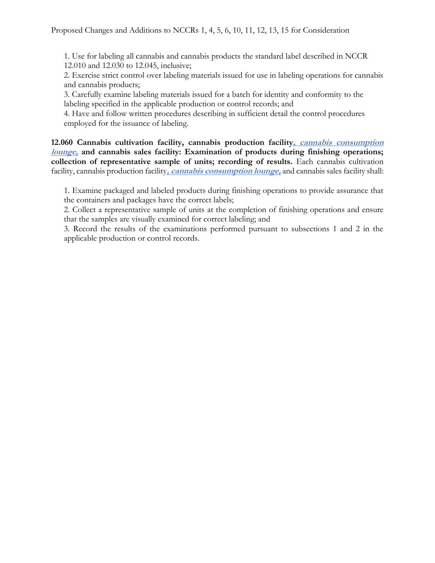1. Use for labeling all cannabis and cannabis products the standard label described in NCCR 12.010 and 12.030 to 12.045, inclusive;

2. Exercise strict control over labeling materials issued for use in labeling operations for cannabis and cannabis products;

3. Carefully examine labeling materials issued for a batch for identity and conformity to the labeling specified in the applicable production or control records; and

4. Have and follow written procedures describing in sufficient detail the control procedures employed for the issuance of labeling.

**12.060 Cannabis cultivation facility, cannabis production facility, cannabis consumption lounge, and cannabis sales facility: Examination of products during finishing operations; collection of representative sample of units; recording of results.** Each cannabis cultivation facility, cannabis production facility**, cannabis consumption lounge,** and cannabis sales facility shall:

1. Examine packaged and labeled products during finishing operations to provide assurance that the containers and packages have the correct labels;

2. Collect a representative sample of units at the completion of finishing operations and ensure that the samples are visually examined for correct labeling; and

3. Record the results of the examinations performed pursuant to subsections 1 and 2 in the applicable production or control records.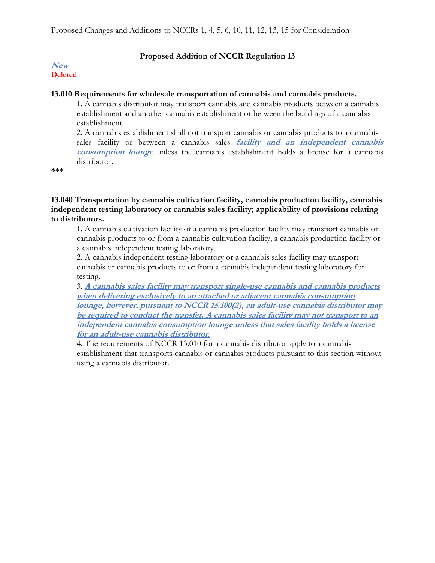### **Proposed Addition of NCCR Regulation 13**

#### **New Deleted**

### **13.010 Requirements for wholesale transportation of cannabis and cannabis products.**

1. A cannabis distributor may transport cannabis and cannabis products between a cannabis establishment and another cannabis establishment or between the buildings of a cannabis establishment.

2. A cannabis establishment shall not transport cannabis or cannabis products to a cannabis sales facility or between a cannabis sales **facility and an independent cannabis consumption lounge** unless the cannabis establishment holds a license for a cannabis distributor.

**\*\*\***

**13.040 Transportation by cannabis cultivation facility, cannabis production facility, cannabis independent testing laboratory or cannabis sales facility; applicability of provisions relating to distributors.**

1. A cannabis cultivation facility or a cannabis production facility may transport cannabis or cannabis products to or from a cannabis cultivation facility, a cannabis production facility or a cannabis independent testing laboratory.

2. A cannabis independent testing laboratory or a cannabis sales facility may transport cannabis or cannabis products to or from a cannabis independent testing laboratory for testing.

3. **A cannabis sales facility may transport single-use cannabis and cannabis products when delivering exclusively to an attached or adjacent cannabis consumption lounge, however, pursuant to NCCR 15.100(2), an adult-use cannabis distributor may be required to conduct the transfer. A cannabis sales facility may not transport to an independent cannabis consumption lounge unless that sales facility holds a license for an adult-use cannabis distributor.**

4. The requirements of NCCR 13.010 for a cannabis distributor apply to a cannabis establishment that transports cannabis or cannabis products pursuant to this section without using a cannabis distributor.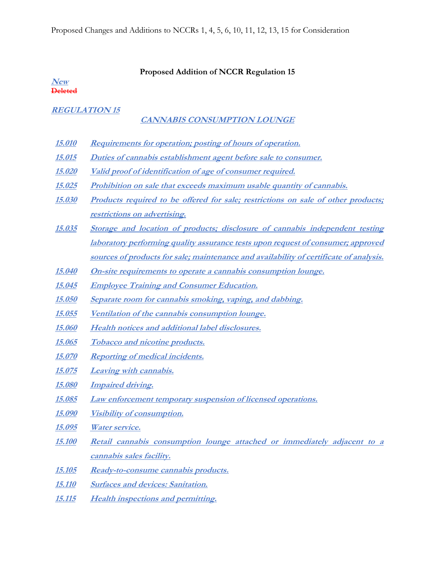#### **Proposed Addition of NCCR Regulation 15**

**New Deleted**

## **REGULATION 15**

## **CANNABIS CONSUMPTION LOUNGE**

- **15.010 Requirements for operation; posting of hours of operation.**
- **15.015 Duties of cannabis establishment agent before sale to consumer.**
- **15.020 Valid proof of identification of age of consumer required.**
- **15.025 Prohibition on sale that exceeds maximum usable quantity of cannabis.**
- **15.030 Products required to be offered for sale; restrictions on sale of other products; restrictions on advertising.**
- **15.035 Storage and location of products; disclosure of cannabis independent testing laboratory performing quality assurance tests upon request of consumer; approved sources of products for sale; maintenance and availability of certificate of analysis.**
- **15.040 On-site requirements to operate a cannabis consumption lounge.**
- **15.045 Employee Training and Consumer Education.**
- **15.050 Separate room for cannabis smoking, vaping, and dabbing.**
- **15.055 Ventilation of the cannabis consumption lounge.**
- **15.060 Health notices and additional label disclosures.**
- **15.065 Tobacco and nicotine products.**
- **15.070 Reporting of medical incidents.**
- **15.075 Leaving with cannabis.**
- **15.080 Impaired driving.**
- **15.085 Law enforcement temporary suspension of licensed operations.**
- **15.090 Visibility of consumption.**
- **15.095 Water service.**
- **15.100 Retail cannabis consumption lounge attached or immediately adjacent to a cannabis sales facility.**
- **15.105 Ready-to-consume cannabis products.**
- **15.110 Surfaces and devices: Sanitation.**
- **15.115 Health inspections and permitting.**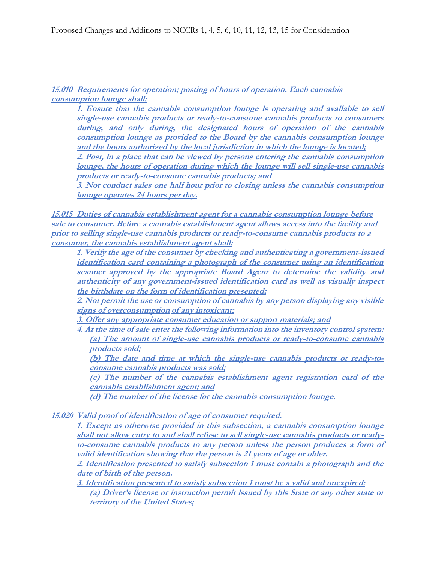**15.010 Requirements for operation; posting of hours of operation. Each cannabis consumption lounge shall:**

**1. Ensure that the cannabis consumption lounge is operating and available to sell single-use cannabis products or ready-to-consume cannabis products to consumers during, and only during, the designated hours of operation of the cannabis consumption lounge as provided to the Board by the cannabis consumption lounge and the hours authorized by the local jurisdiction in which the lounge is located;** 

**2. Post, in a place that can be viewed by persons entering the cannabis consumption lounge, the hours of operation during which the lounge will sell single-use cannabis products or ready-to-consume cannabis products; and**

**3. Not conduct sales one half hour prior to closing unless the cannabis consumption lounge operates 24 hours per day.**

**15.015 Duties of cannabis establishment agent for a cannabis consumption lounge before sale to consumer. Before a cannabis establishment agent allows access into the facility and prior to selling single-use cannabis products or ready-to-consume cannabis products to a consumer, the cannabis establishment agent shall:**

**1. Verify the age of the consumer by checking and authenticating a government-issued identification card containing a photograph of the consumer using an identification scanner approved by the appropriate Board Agent to determine the validity and authenticity of any government-issued identification card as well as visually inspect the birthdate on the form of identification presented;**

**2. Not permit the use or consumption of cannabis by any person displaying any visible signs of overconsumption of any intoxicant;**

**3. Offer any appropriate consumer education or support materials; and**

**4. At the time of sale enter the following information into the inventory control system: (a) The amount of single-use cannabis products or ready-to-consume cannabis products sold;** 

**(b) The date and time at which the single-use cannabis products or ready-toconsume cannabis products was sold;**

**(c) The number of the cannabis establishment agent registration card of the cannabis establishment agent; and**

**(d) The number of the license for the cannabis consumption lounge.**

**15.020 Valid proof of identification of age of consumer required.** 

**1. Except as otherwise provided in this subsection, a cannabis consumption lounge shall not allow entry to and shall refuse to sell single-use cannabis products or readyto-consume cannabis products to any person unless the person produces a form of valid identification showing that the person is 21 years of age or older.** 

**2. Identification presented to satisfy subsection 1 must contain a photograph and the date of birth of the person.**

**3. Identification presented to satisfy subsection 1 must be a valid and unexpired: (a) Driver's license or instruction permit issued by this State or any other state or territory of the United States;**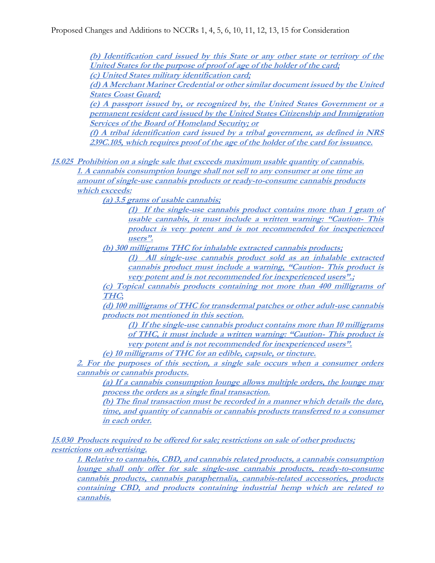**(b) Identification card issued by this State or any other state or territory of the United States for the purpose of proof of age of the holder of the card; (c) United States military identification card;**

**(d) A Merchant Mariner Credential or other similar document issued by the United States Coast Guard;**

**(e) A passport issued by, or recognized by, the United States Government or a permanent resident card issued by the United States Citizenship and Immigration Services of the Board of Homeland Security; or**

**(f) A tribal identification card issued by a tribal government, as defined in NRS 239C.105, which requires proof of the age of the holder of the card for issuance.**

**15.025 Prohibition on a single sale that exceeds maximum usable quantity of cannabis. 1. A cannabis consumption lounge shall not sell to any consumer at one time an amount of single-use cannabis products or ready-to-consume cannabis products which exceeds:**

**(a) 3.5 grams of usable cannabis;**

**(1) If the single-use cannabis product contains more than 1 gram of usable cannabis, it must include a written warning: "Caution- This product is very potent and is not recommended for inexperienced users".** 

**(b) 300 milligrams THC for inhalable extracted cannabis products;**

**(1) All single-use cannabis product sold as an inhalable extracted cannabis product must include a warning, "Caution- This product is very potent and is not recommended for inexperienced users".;**

**(c) Topical cannabis products containing not more than 400 milligrams of THC;**

**(d) 100 milligrams of THC for transdermal patches or other adult-use cannabis products not mentioned in this section.**

**(1) If the single-use cannabis product contains more than 10 milligrams of THC, it must include a written warning: "Caution- This product is very potent and is not recommended for inexperienced users".**

**(e) 10 milligrams of THC for an edible, capsule, or tincture.**

**2. For the purposes of this section, a single sale occurs when a consumer orders cannabis or cannabis products.** 

**(a) If a cannabis consumption lounge allows multiple orders, the lounge may process the orders as a single final transaction.**

**(b) The final transaction must be recorded in a manner which details the date, time, and quantity of cannabis or cannabis products transferred to a consumer in each order.**

**15.030 Products required to be offered for sale; restrictions on sale of other products; restrictions on advertising.** 

**1. Relative to cannabis, CBD, and cannabis related products, <sup>a</sup> cannabis consumption lounge shall only offer for sale single-use cannabis products, ready-to-consume cannabis products, cannabis paraphernalia, cannabis-related accessories, products containing CBD, and products containing industrial hemp which are related to cannabis.**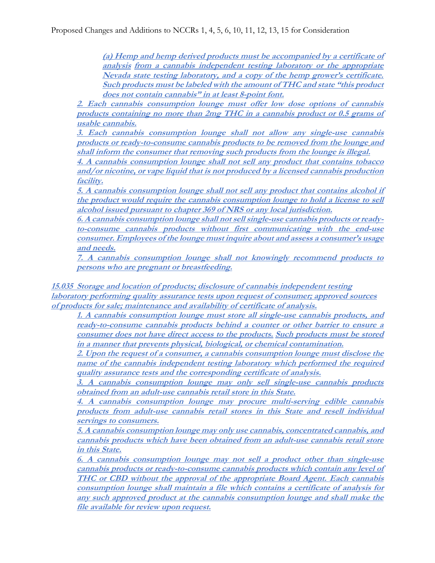Proposed Changes and Additions to NCCRs 1, 4, 5, 6, 10, 11, 12, 13, 15 for Consideration

**(a) Hemp and hemp derived products must be accompanied by a certificate of analysis from a cannabis independent testing laboratory or the appropriate Nevada state testing laboratory, and a copy of the hemp grower's certificate. Such products must be labeled with the amount of THC and state "this product does not contain cannabis" in at least 8-point font.** 

**2. Each cannabis consumption lounge must offer low dose options of cannabis products containing no more than 2mg THC in a cannabis product or 0.5 grams of usable cannabis.**

**3. Each cannabis consumption lounge shall not allow any single-use cannabis products or ready-to-consume cannabis products to be removed from the lounge and shall inform the consumer that removing such products from the lounge is illegal.**

**4. A cannabis consumption lounge shall not sell any product that contains tobacco and/or nicotine, or vape liquid that is not produced by a licensed cannabis production facility.**

**5. A cannabis consumption lounge shall not sell any product that contains alcohol if the product would require the cannabis consumption lounge to hold a license to sell alcohol issued pursuant to chapter 369 of NRS or any local jurisdiction.**

**6. A cannabis consumption lounge shall not sell single-use cannabis products or readyto-consume cannabis products without first communicating with the end-use consumer. Employees of the lounge must inquire about and assess a consumer's usage and needs.**

**7. A cannabis consumption lounge shall not knowingly recommend products to persons who are pregnant or breastfeeding.** 

**15.035 Storage and location of products; disclosure of cannabis independent testing laboratory performing quality assurance tests upon request of consumer; approved sources of products for sale; maintenance and availability of certificate of analysis.** 

**1. A cannabis consumption lounge must store all single-use cannabis products, and ready-to-consume cannabis products behind a counter or other barrier to ensure a consumer does not have direct access to the products. Such products must be stored in a manner that prevents physical, biological, or chemical contamination.**

**2. Upon the request of a consumer, a cannabis consumption lounge must disclose the name of the cannabis independent testing laboratory which performed the required quality assurance tests and the corresponding certificate of analysis.**

**3. A cannabis consumption lounge may only sell single-use cannabis products obtained from an adult-use cannabis retail store in this State.**

**4. A cannabis consumption lounge may procure multi-serving edible cannabis products from adult-use cannabis retail stores in this State and resell individual servings to consumers.**

**5. A cannabis consumption lounge may only use cannabis, concentrated cannabis, and cannabis products which have been obtained from an adult-use cannabis retail store in this State.** 

**6. A cannabis consumption lounge may not sell a product other than single-use cannabis products or ready-to-consume cannabis products which contain any level of THC or CBD without the approval of the appropriate Board Agent. Each cannabis consumption lounge shall maintain a file which contains a certificate of analysis for any such approved product at the cannabis consumption lounge and shall make the file available for review upon request.**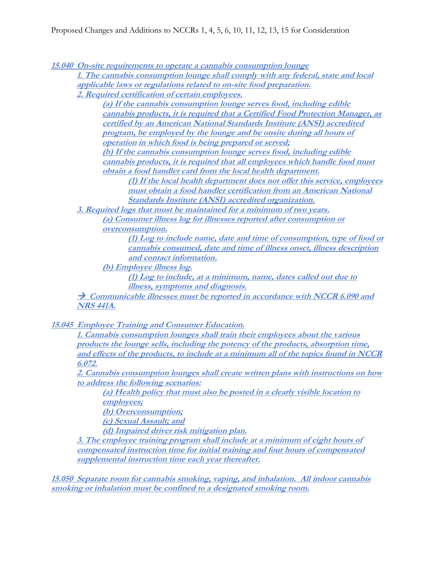**15.040 On-site requirements to operate a cannabis consumption lounge**

**1. The cannabis consumption lounge shall comply with any federal, state and local applicable laws or regulations related to on-site food preparation.**

**2. Required certification of certain employees.**

**(a) If the cannabis consumption lounge serves food, including edible cannabis products, it is required that a Certified Food Protection Manager, as certified by an American National Standards Institute (ANSI) accredited program, be employed by the lounge and be onsite during all hours of operation in which food is being prepared or served;**

**(b) If the cannabis consumption lounge serves food, including edible cannabis products, it is required that all employees which handle food must obtain a food handler card from the local health department.**

**(1) If the local health department does not offer this service, employees must obtain a food handler certification from an American National Standards Institute (ANSI) accredited organization.** 

**3. Required logs that must be maintained for a minimum of two years.**

**(a) Consumer illness log for illnesses reported after consumption or overconsumption.**

**(1) Log to include name, date and time of consumption, type of food or cannabis consumed, date and time of illness onset, illness description and contact information.**

**(b) Employee illness log.**

**(1) Log to include, at a minimum, name, dates called out due to illness, symptoms and diagnosis.**

**→ Communicable illnesses must be reported in accordance with NCCR 6.090 and NRS 441A.**

**15.045 Employee Training and Consumer Education.**

**1. Cannabis consumption lounges shall train their employees about the various products the lounge sells, including the potency of the products, absorption time, and effects of the products, to include at a minimum all of the topics found in NCCR 6.072.**

**2. Cannabis consumption lounges shall create written plans with instructions on how to address the following scenarios:**

**(a) Health policy that must also be posted in a clearly visible location to employees;**

**(b) Overconsumption;**

**(c) Sexual Assault; and** 

**(d) Impaired driver risk mitigation plan.**

**3. The employee training program shall include at a minimum of eight hours of compensated instruction time for initial training and four hours of compensated supplemental instruction time each year thereafter.**

**15.050 Separate room for cannabis smoking, vaping, and inhalation. All indoor cannabis smoking or inhalation must be confined to a designated smoking room.**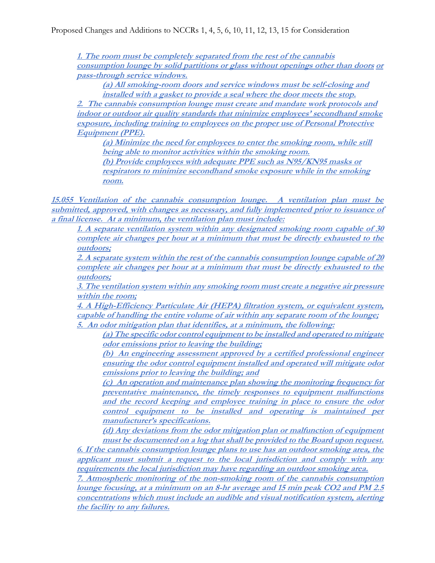**1. The room must be completely separated from the rest of the cannabis consumption lounge by solid partitions or glass without openings other than doors or pass-through service windows.**

**(a) All smoking-room doors and service windows must be self-closing and installed with a gasket to provide a seal where the door meets the stop.**

**2. The cannabis consumption lounge must create and mandate work protocols and indoor or outdoor air quality standards that minimize employees' secondhand smoke exposure, including training to employees on the proper use of Personal Protective Equipment (PPE).**

**(a) Minimize the need for employees to enter the smoking room, while still being able to monitor activities within the smoking room.**

**(b) Provide employees with adequate PPE such as N95/KN95 masks or respirators to minimize secondhand smoke exposure while in the smoking room.**

**15.055 Ventilation of the cannabis consumption lounge. A ventilation plan must be submitted, approved, with changes as necessary, and fully implemented prior to issuance of a final license. At a minimum, the ventilation plan must include:**

**1. A separate ventilation system within any designated smoking room capable of 30 complete air changes per hour at a minimum that must be directly exhausted to the outdoors;**

**2. A separate system within the rest of the cannabis consumption lounge capable of 20 complete air changes per hour at a minimum that must be directly exhausted to the outdoors;**

**3. The ventilation system within any smoking room must create a negative air pressure within the room;**

**4. A High-Efficiency Particulate Air (HEPA) filtration system, or equivalent system, capable of handling the entire volume of air within any separate room of the lounge; 5. An odor mitigation plan that identifies, at a minimum, the following:**

**(a) The specific odor control equipment to be installed and operated to mitigate odor emissions prior to leaving the building;**

**(b) An engineering assessment approved by a certified professional engineer ensuring the odor control equipment installed and operated will mitigate odor emissions prior to leaving the building; and**

**(c) An operation and maintenance plan showing the monitoring frequency for preventative maintenance, the timely responses to equipment malfunctions and the record keeping and employee training in place to ensure the odor control equipment to be installed and operating is maintained per manufacturer's specifications.**

**(d) Any deviations from the odor mitigation plan or malfunction of equipment must be documented on a log that shall be provided to the Board upon request.**

**6. If the cannabis consumption lounge plans to use has an outdoor smoking area, the applicant must submit a request to the local jurisdiction and comply with any requirements the local jurisdiction may have regarding an outdoor smoking area.**

**7. Atmospheric monitoring of the non-smoking room of the cannabis consumption lounge focusing, at a minimum on an 8-hr average and 15 min peak CO2 and PM 2.5 concentrations which must include an audible and visual notification system, alerting the facility to any failures.**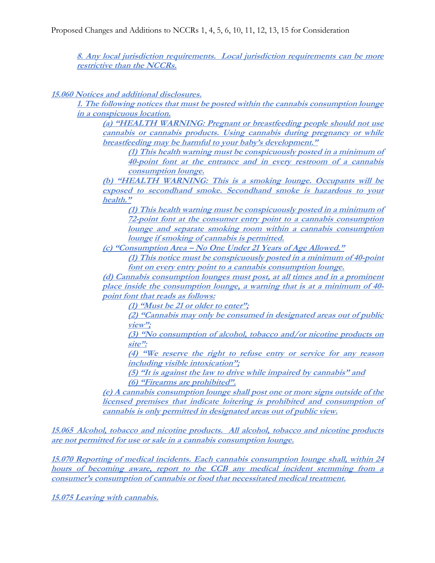**8. Any local jurisdiction requirements. Local jurisdiction requirements can be more restrictive than the NCCRs.**

**15.060 Notices and additional disclosures.** 

**1. The following notices that must be posted within the cannabis consumption lounge in a conspicuous location.**

**(a) "HEALTH WARNING: Pregnant or breastfeeding people should not use cannabis or cannabis products. Using cannabis during pregnancy or while breastfeeding may be harmful to your baby's development."**

**(1) This health warning must be conspicuously posted in a minimum of 40-point font at the entrance and in every restroom of a cannabis consumption lounge.**

**(b) "HEALTH WARNING: This is a smoking lounge. Occupants will be exposed to secondhand smoke. Secondhand smoke is hazardous to your health."**

**(1) This health warning must be conspicuously posted in a minimum of 72-point font at the consumer entry point to a cannabis consumption lounge and separate smoking room within a cannabis consumption lounge if smoking of cannabis is permitted.**

**(c) "Consumption Area – No One Under 21 Years of Age Allowed."**

**(1) This notice must be conspicuously posted in a minimum of 40-point font on every entry point to a cannabis consumption lounge.**

**(d) Cannabis consumption lounges must post, at all times and in a prominent place inside the consumption lounge, a warning that is at a minimum of 40 point font that reads as follows:**

**(1) "Must be 21 or older to enter";**

**(2) "Cannabis may only be consumed in designated areas out of public view";**

**(3) "No consumption of alcohol, tobacco and/or nicotine products on site":**

**(4) "We reserve the right to refuse entry or service for any reason including visible intoxication";**

**(5) "It is against the law to drive while impaired by cannabis" and (6) "Firearms are prohibited".**

**(e) A cannabis consumption lounge shall post one or more signs outside of the licensed premises that indicate loitering is prohibited and consumption of cannabis is only permitted in designated areas out of public view.**

**15.065 Alcohol, tobacco and nicotine products. All alcohol, tobacco and nicotine products are not permitted for use or sale in a cannabis consumption lounge.**

**15.070 Reporting of medical incidents. Each cannabis consumption lounge shall, within 24 hours of becoming aware, report to the CCB any medical incident stemming from a consumer's consumption of cannabis or food that necessitated medical treatment.**

**15.075 Leaving with cannabis.**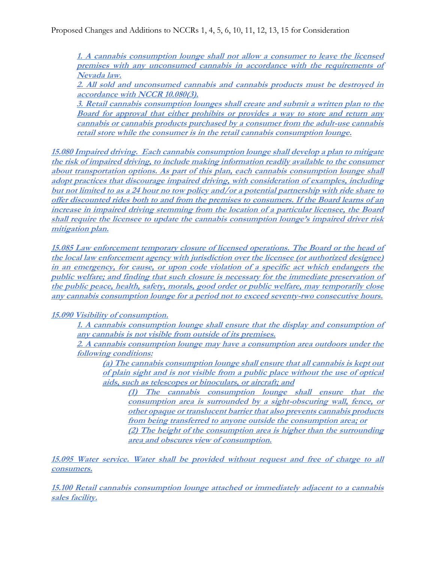**1. A cannabis consumption lounge shall not allow a consumer to leave the licensed premises with any unconsumed cannabis in accordance with the requirements of Nevada law.**

**2. All sold and unconsumed cannabis and cannabis products must be destroyed in accordance with NCCR 10.080(3).**

**3. Retail cannabis consumption lounges shall create and submit a written plan to the Board for approval that either prohibits or provides a way to store and return any cannabis or cannabis products purchased by a consumer from the adult-use cannabis retail store while the consumer is in the retail cannabis consumption lounge.**

**15.080 Impaired driving. Each cannabis consumption lounge shall develop a plan to mitigate the risk of impaired driving, to include making information readily available to the consumer about transportation options. As part of this plan, each cannabis consumption lounge shall adopt practices that discourage impaired driving, with consideration of examples, including but not limited to as a 24 hour no tow policy and/or a potential partnership with ride share to offer discounted rides both to and from the premises to consumers. If the Board learns of an increase in impaired driving stemming from the location of a particular licensee, the Board shall require the licensee to update the cannabis consumption lounge's impaired driver risk mitigation plan.**

**15.085 Law enforcement temporary closure of licensed operations. The Board or the head of the local law enforcement agency with jurisdiction over the licensee (or authorized designee) in an emergency, for cause, or upon code violation of a specific act which endangers the public welfare; and finding that such closure is necessary for the immediate preservation of the public peace, health, safety, morals, good order or public welfare, may temporarily close any cannabis consumption lounge for a period not to exceed seventy-two consecutive hours.**

## **15.090 Visibility of consumption.**

**1. A cannabis consumption lounge shall ensure that the display and consumption of any cannabis is not visible from outside of its premises.**

**2. A cannabis consumption lounge may have a consumption area outdoors under the following conditions:**

**(a) The cannabis consumption lounge shall ensure that all cannabis is kept out of plain sight and is not visible from a public place without the use of optical aids, such as telescopes or binoculars, or aircraft; and**

**(1) The cannabis consumption lounge shall ensure that the consumption area is surrounded by a sight-obscuring wall, fence, or other opaque or translucent barrier that also prevents cannabis products from being transferred to anyone outside the consumption area; or (2) The height of the consumption area is higher than the surrounding** 

**area and obscures view of consumption.**

**15.095 Water service. Water shall be provided without request and free of charge to all consumers.**

**15.100 Retail cannabis consumption lounge attached or immediately adjacent to a cannabis sales facility.**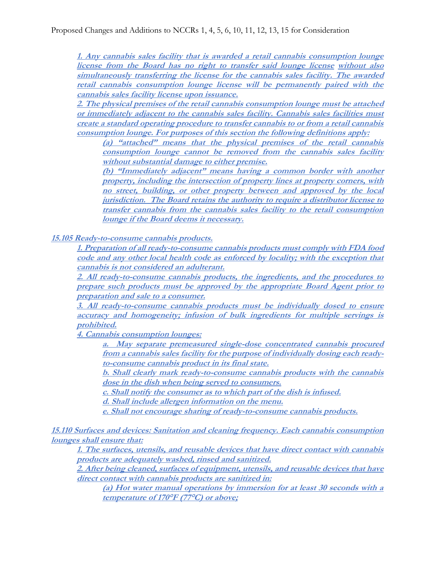**1. Any cannabis sales facility that is awarded a retail cannabis consumption lounge license from the Board has no right to transfer said lounge license without also simultaneously transferring the license for the cannabis sales facility. The awarded retail cannabis consumption lounge license will be permanently paired with the cannabis sales facility license upon issuance.**

**2. The physical premises of the retail cannabis consumption lounge must be attached or immediately adjacent to the cannabis sales facility. Cannabis sales facilities must create a standard operating procedure to transfer cannabis to or from a retail cannabis consumption lounge. For purposes of this section the following definitions apply:**

**(a) "attached" means that the physical premises of the retail cannabis consumption lounge cannot be removed from the cannabis sales facility without substantial damage to either premise.**

**(b) "Immediately adjacent" means having a common border with another property, including the intersection of property lines at property corners, with no street, building, or other property between and approved by the local jurisdiction. The Board retains the authority to require a distributor license to transfer cannabis from the cannabis sales facility to the retail consumption lounge if the Board deems it necessary.**

**15.105 Ready-to-consume cannabis products.**

**1. Preparation of all ready-to-consume cannabis products must comply with FDA food code and any other local health code as enforced by locality; with the exception that cannabis is not considered an adulterant.**

**2. All ready-to-consume cannabis products, the ingredients, and the procedures to prepare such products must be approved by the appropriate Board Agent prior to preparation and sale to a consumer.** 

**3. All ready-to-consume cannabis products must be individually dosed to ensure accuracy and homogeneity; infusion of bulk ingredients for multiple servings is prohibited.**

**4. Cannabis consumption lounges:**

**a. May separate premeasured single-dose concentrated cannabis procured from a cannabis sales facility for the purpose of individually dosing each readyto-consume cannabis product in its final state.**

**b. Shall clearly mark ready-to-consume cannabis products with the cannabis dose in the dish when being served to consumers.** 

**c. Shall notify the consumer as to which part of the dish is infused.** 

**d. Shall include allergen information on the menu.** 

**e. Shall not encourage sharing of ready-to-consume cannabis products.**

**15.110 Surfaces and devices: Sanitation and cleaning frequency. Each cannabis consumption lounges shall ensure that:** 

**1. The surfaces, utensils, and reusable devices that have direct contact with cannabis products are adequately washed, rinsed and sanitized.** 

**2. After being cleaned, surfaces of equipment, utensils, and reusable devices that have direct contact with cannabis products are sanitized in:** 

**(a) Hot water manual operations by immersion for at least 30 seconds with a temperature of 170°F (77°C) or above;**